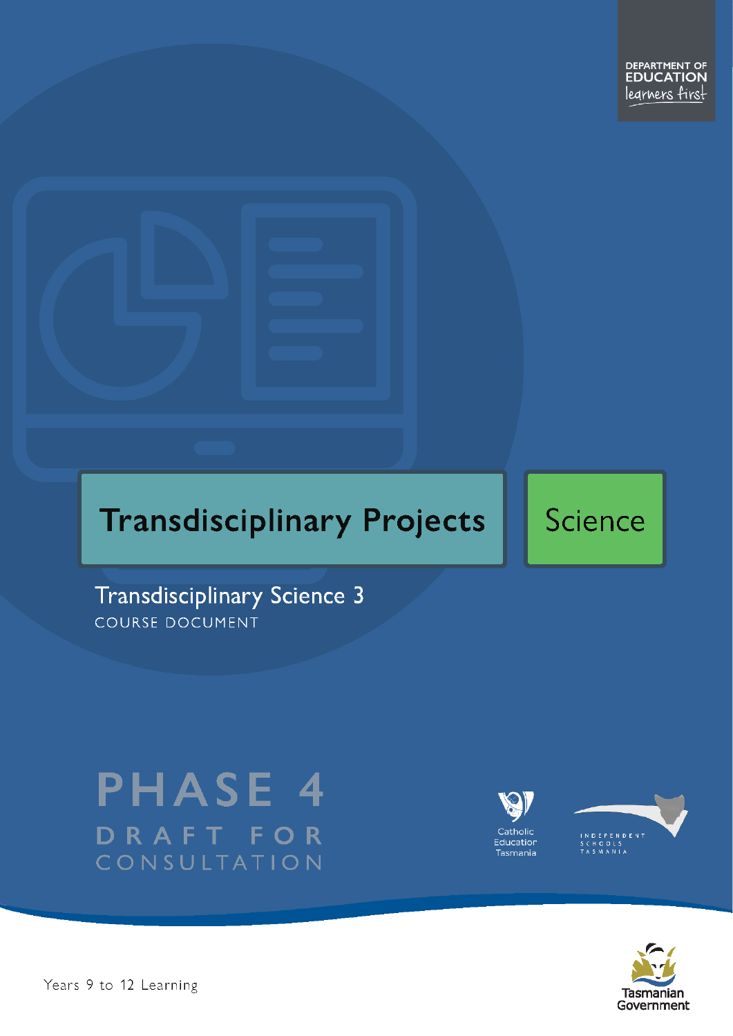

Science

**Transdisciplinary Science 3** COURSE DOCUMENT

# **PHASE 4** DRAFT FOR CONSULTATION





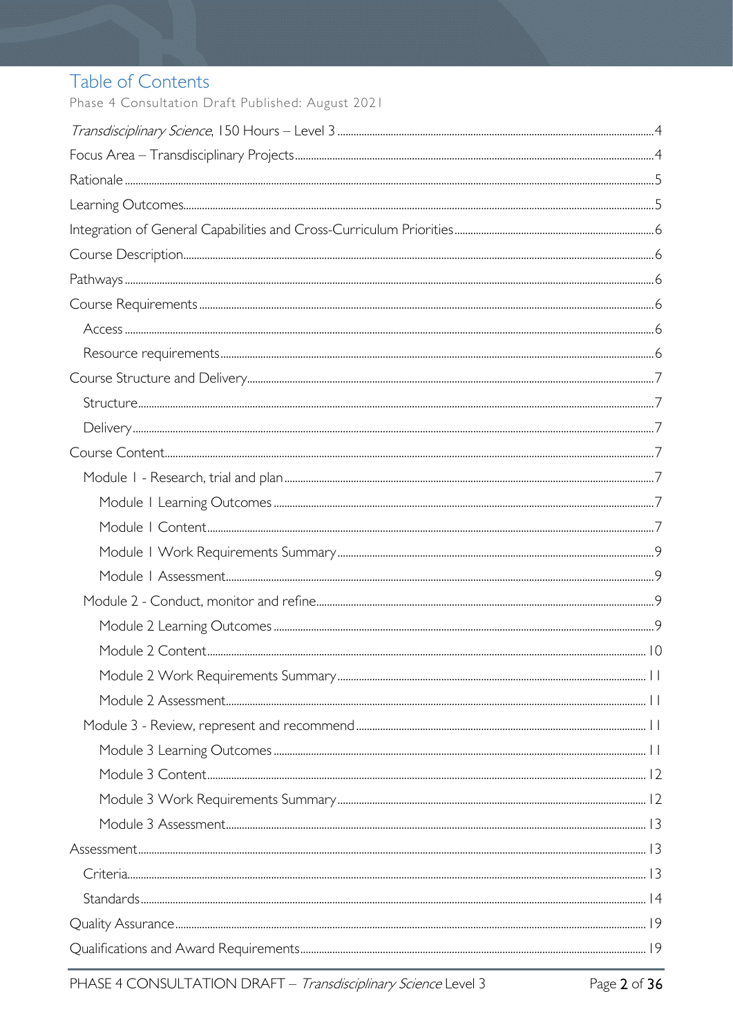# Table of Contents

Phase 4 Consultation Draft Published: August 2021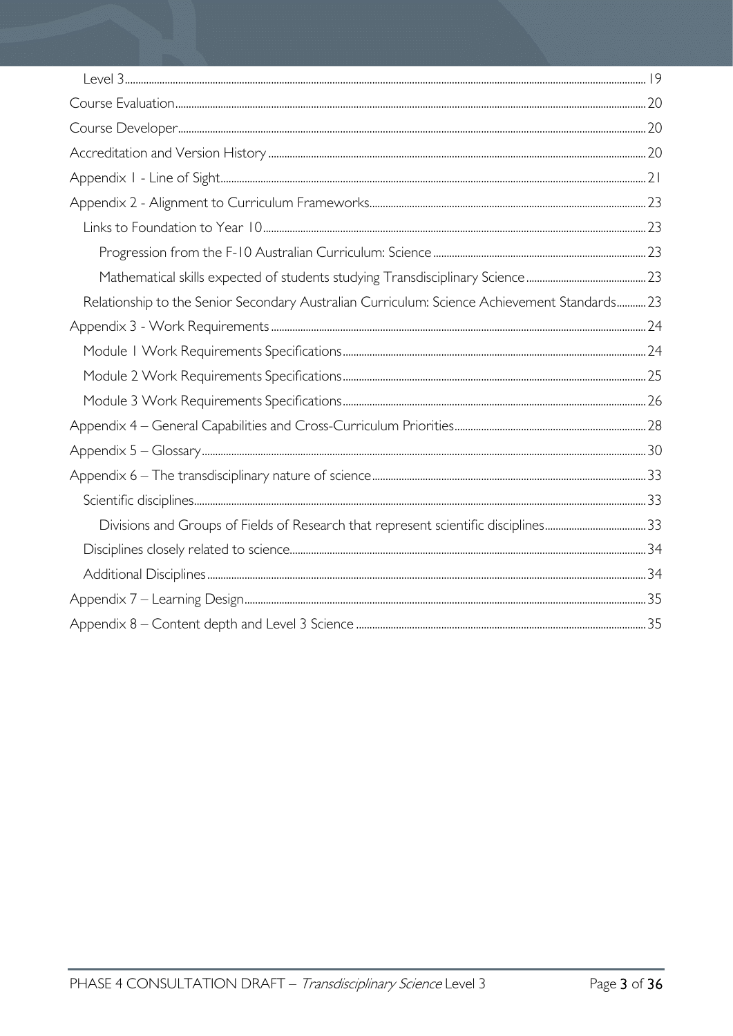| Relationship to the Senior Secondary Australian Curriculum: Science Achievement Standards 23 |  |
|----------------------------------------------------------------------------------------------|--|
|                                                                                              |  |
|                                                                                              |  |
|                                                                                              |  |
|                                                                                              |  |
|                                                                                              |  |
|                                                                                              |  |
|                                                                                              |  |
|                                                                                              |  |
| Divisions and Groups of Fields of Research that represent scientific disciplines33           |  |
|                                                                                              |  |
|                                                                                              |  |
|                                                                                              |  |
|                                                                                              |  |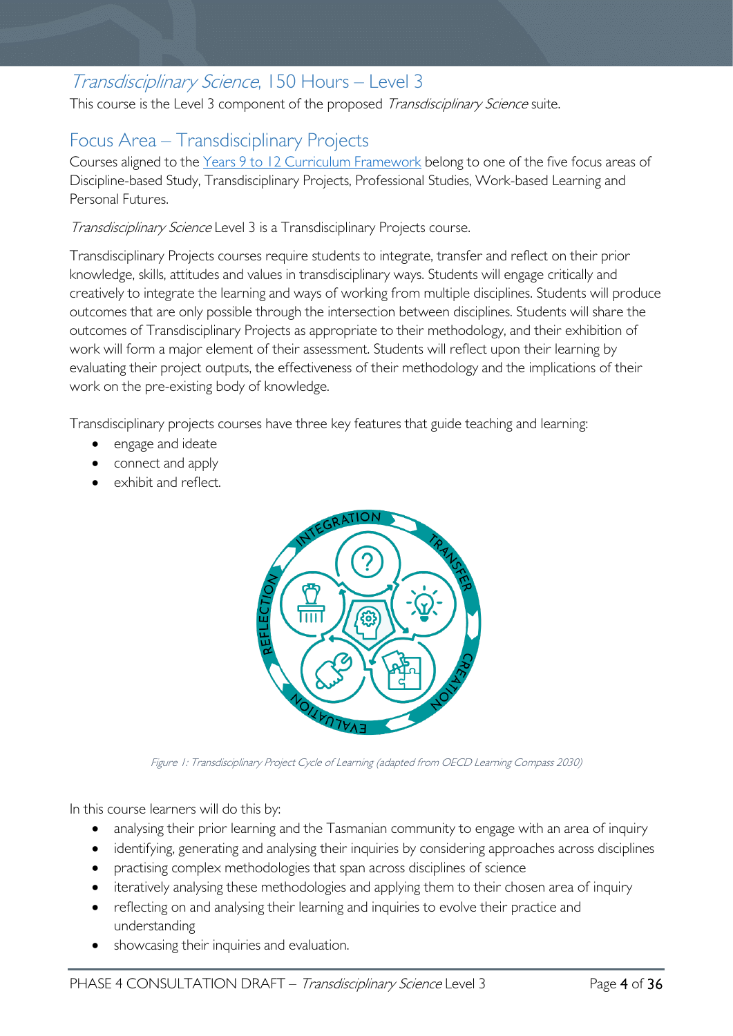# <span id="page-3-0"></span>Transdisciplinary Science, 150 Hours – Level 3

This course is the Level 3 component of the proposed Transdisciplinary Science suite.

# <span id="page-3-1"></span>Focus Area – Transdisciplinary Projects

Courses aligned to the [Years 9 to 12 Curriculum Framework](https://publicdocumentcentre.education.tas.gov.au/library/Shared%20Documents/Education%209-12%20Frameworks%20A3%20WEB%20POSTER.pdf) belong to one of the five focus areas of Discipline-based Study, Transdisciplinary Projects, Professional Studies, Work-based Learning and Personal Futures.

Transdisciplinary Science Level 3 is a Transdisciplinary Projects course.

Transdisciplinary Projects courses require students to integrate, transfer and reflect on their prior knowledge, skills, attitudes and values in transdisciplinary ways. Students will engage critically and creatively to integrate the learning and ways of working from multiple disciplines. Students will produce outcomes that are only possible through the intersection between disciplines. Students will share the outcomes of Transdisciplinary Projects as appropriate to their methodology, and their exhibition of work will form a major element of their assessment. Students will reflect upon their learning by evaluating their project outputs, the effectiveness of their methodology and the implications of their work on the pre-existing body of knowledge.

Transdisciplinary projects courses have three key features that guide teaching and learning:

- engage and ideate
- connect and apply
- exhibit and reflect.



Figure 1: Transdisciplinary Project Cycle of Learning (adapted from OECD Learning Compass 2030)

In this course learners will do this by:

- analysing their prior learning and the Tasmanian community to engage with an area of inquiry
- identifying, generating and analysing their inquiries by considering approaches across disciplines
- practising complex methodologies that span across disciplines of science
- iteratively analysing these methodologies and applying them to their chosen area of inquiry
- reflecting on and analysing their learning and inquiries to evolve their practice and understanding
- showcasing their inquiries and evaluation.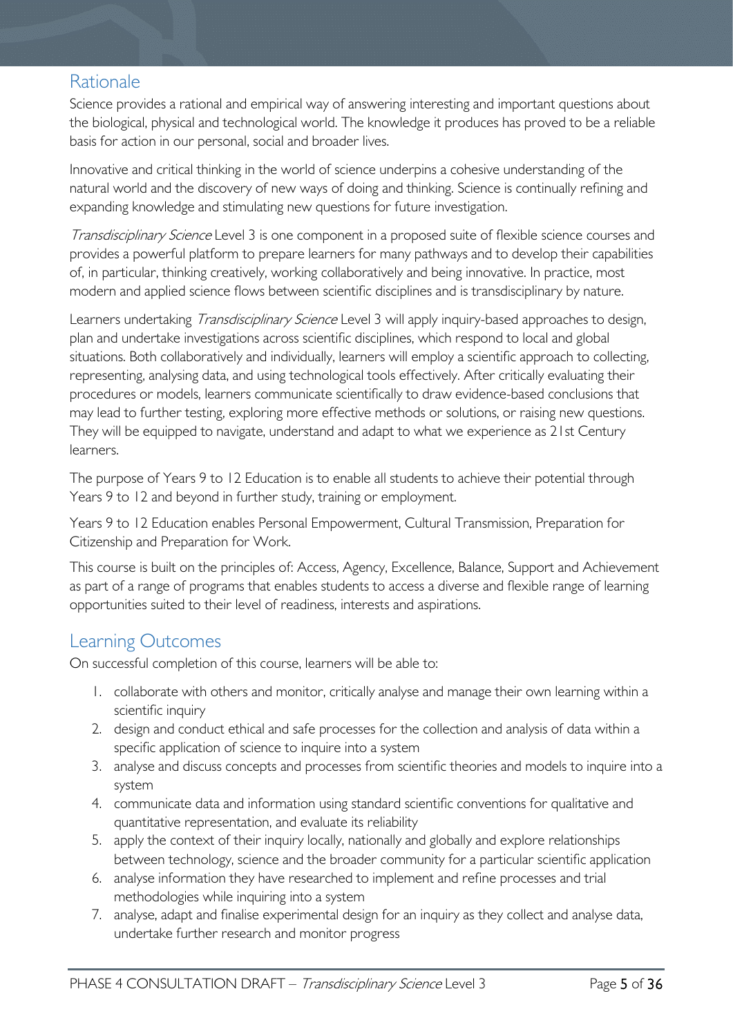### <span id="page-4-0"></span>Rationale

Science provides a rational and empirical way of answering interesting and important questions about the biological, physical and technological world. The knowledge it produces has proved to be a reliable basis for action in our personal, social and broader lives.

Innovative and critical thinking in the world of science underpins a cohesive understanding of the natural world and the discovery of new ways of doing and thinking. Science is continually refining and expanding knowledge and stimulating new questions for future investigation.

Transdisciplinary Science Level 3 is one component in a proposed suite of flexible science courses and provides a powerful platform to prepare learners for many pathways and to develop their capabilities of, in particular, thinking creatively, working collaboratively and being innovative. In practice, most modern and applied science flows between scientific disciplines and is transdisciplinary by nature.

Learners undertaking *Transdisciplinary Science* Level 3 will apply inquiry-based approaches to design, plan and undertake investigations across scientific disciplines, which respond to local and global situations. Both collaboratively and individually, learners will employ a scientific approach to collecting, representing, analysing data, and using technological tools effectively. After critically evaluating their procedures or models, learners communicate scientifically to draw evidence-based conclusions that may lead to further testing, exploring more effective methods or solutions, or raising new questions. They will be equipped to navigate, understand and adapt to what we experience as 21st Century learners.

The purpose of Years 9 to 12 Education is to enable all students to achieve their potential through Years 9 to 12 and beyond in further study, training or employment.

Years 9 to 12 Education enables Personal Empowerment, Cultural Transmission, Preparation for Citizenship and Preparation for Work.

This course is built on the principles of: Access, Agency, Excellence, Balance, Support and Achievement as part of a range of programs that enables students to access a diverse and flexible range of learning opportunities suited to their level of readiness, interests and aspirations.

### <span id="page-4-1"></span>Learning Outcomes

On successful completion of this course, learners will be able to:

- 1. collaborate with others and monitor, critically analyse and manage their own learning within a scientific inquiry
- 2. design and conduct ethical and safe processes for the collection and analysis of data within a specific application of science to inquire into a system
- 3. analyse and discuss concepts and processes from scientific theories and models to inquire into a system
- 4. communicate data and information using standard scientific conventions for qualitative and quantitative representation, and evaluate its reliability
- 5. apply the context of their inquiry locally, nationally and globally and explore relationships between technology, science and the broader community for a particular scientific application
- 6. analyse information they have researched to implement and refine processes and trial methodologies while inquiring into a system
- 7. analyse, adapt and finalise experimental design for an inquiry as they collect and analyse data, undertake further research and monitor progress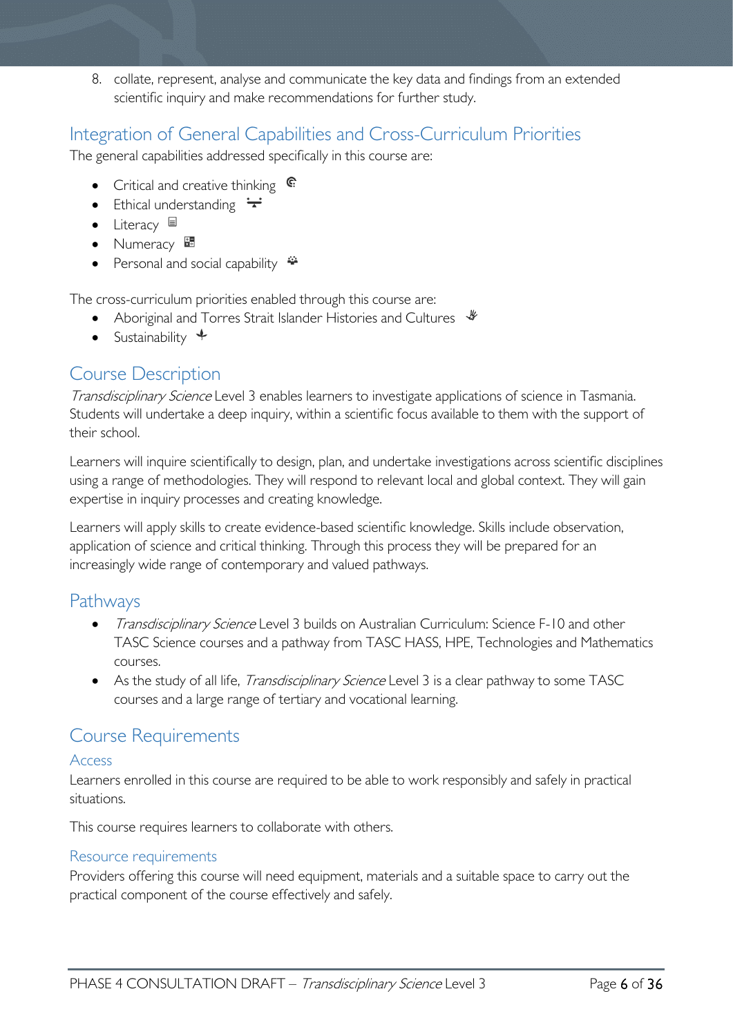8. collate, represent, analyse and communicate the key data and findings from an extended scientific inquiry and make recommendations for further study.

### <span id="page-5-0"></span>Integration of General Capabilities and Cross-Curriculum Priorities

The general capabilities addressed specifically in this course are:

- Critical and creative thinking  $\epsilon$
- Ethical understanding  $\div$
- Literacy  $\blacksquare$
- Numeracy
- Personal and social capability

The cross-curriculum priorities enabled through this course are:

- Aboriginal and Torres Strait Islander Histories and Cultures  $\mathcal$
- Sustainability  $\triangleleft$

### <span id="page-5-1"></span>Course Description

Transdisciplinary Science Level 3 enables learners to investigate applications of science in Tasmania. Students will undertake a deep inquiry, within a scientific focus available to them with the support of their school.

Learners will inquire scientifically to design, plan, and undertake investigations across scientific disciplines using a range of methodologies. They will respond to relevant local and global context. They will gain expertise in inquiry processes and creating knowledge.

Learners will apply skills to create evidence-based scientific knowledge. Skills include observation, application of science and critical thinking. Through this process they will be prepared for an increasingly wide range of contemporary and valued pathways.

### <span id="page-5-2"></span>Pathways

- Transdisciplinary Science Level 3 builds on Australian Curriculum: Science F-10 and other TASC Science courses and a pathway from TASC HASS, HPE, Technologies and Mathematics courses.
- As the study of all life, *Transdisciplinary Science* Level 3 is a clear pathway to some TASC courses and a large range of tertiary and vocational learning.

### <span id="page-5-3"></span>Course Requirements

### <span id="page-5-4"></span>Access

Learners enrolled in this course are required to be able to work responsibly and safely in practical situations.

This course requires learners to collaborate with others.

### <span id="page-5-5"></span>Resource requirements

Providers offering this course will need equipment, materials and a suitable space to carry out the practical component of the course effectively and safely.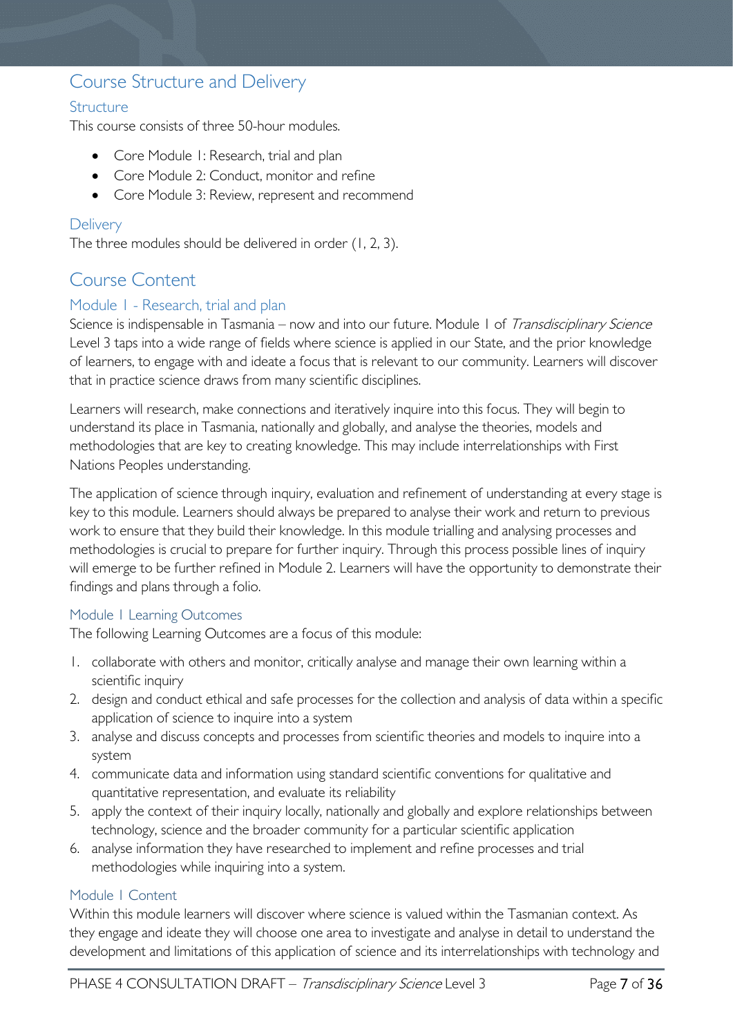### <span id="page-6-0"></span>Course Structure and Delivery

### <span id="page-6-1"></span>**Structure**

This course consists of three 50-hour modules.

- Core Module 1: Research, trial and plan
- Core Module 2: Conduct, monitor and refine
- Core Module 3: Review, represent and recommend

### <span id="page-6-2"></span>**Delivery**

The three modules should be delivered in order (1, 2, 3).

### <span id="page-6-3"></span>Course Content

### <span id="page-6-4"></span>Module 1 - Research, trial and plan

Science is indispensable in Tasmania – now and into our future. Module 1 of Transdisciplinary Science Level 3 taps into a wide range of fields where science is applied in our State, and the prior knowledge of learners, to engage with and ideate a focus that is relevant to our community. Learners will discover that in practice science draws from many scientific disciplines.

Learners will research, make connections and iteratively inquire into this focus. They will begin to understand its place in Tasmania, nationally and globally, and analyse the theories, models and methodologies that are key to creating knowledge. This may include interrelationships with First Nations Peoples understanding.

The application of science through inquiry, evaluation and refinement of understanding at every stage is key to this module. Learners should always be prepared to analyse their work and return to previous work to ensure that they build their knowledge. In this module trialling and analysing processes and methodologies is crucial to prepare for further inquiry. Through this process possible lines of inquiry will emerge to be further refined in Module 2. Learners will have the opportunity to demonstrate their findings and plans through a folio.

### <span id="page-6-5"></span>Module 1 Learning Outcomes

The following Learning Outcomes are a focus of this module:

- 1. collaborate with others and monitor, critically analyse and manage their own learning within a scientific inquiry
- 2. design and conduct ethical and safe processes for the collection and analysis of data within a specific application of science to inquire into a system
- 3. analyse and discuss concepts and processes from scientific theories and models to inquire into a system
- 4. communicate data and information using standard scientific conventions for qualitative and quantitative representation, and evaluate its reliability
- 5. apply the context of their inquiry locally, nationally and globally and explore relationships between technology, science and the broader community for a particular scientific application
- 6. analyse information they have researched to implement and refine processes and trial methodologies while inquiring into a system.

### <span id="page-6-6"></span>Module 1 Content

Within this module learners will discover where science is valued within the Tasmanian context. As they engage and ideate they will choose one area to investigate and analyse in detail to understand the development and limitations of this application of science and its interrelationships with technology and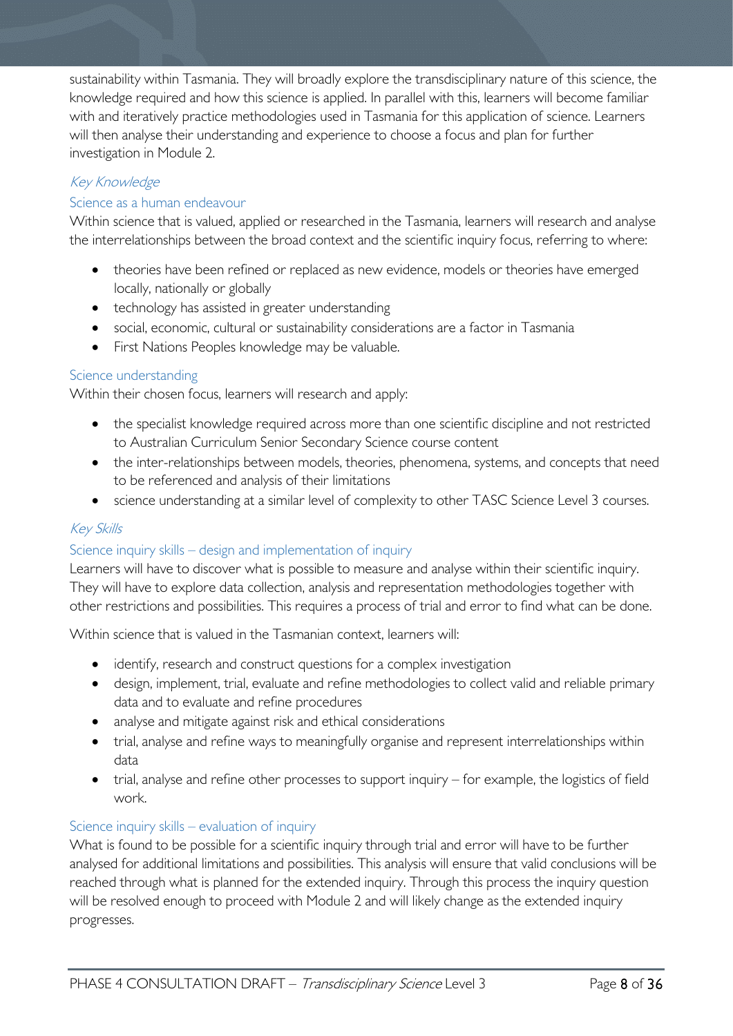sustainability within Tasmania. They will broadly explore the transdisciplinary nature of this science, the knowledge required and how this science is applied. In parallel with this, learners will become familiar with and iteratively practice methodologies used in Tasmania for this application of science. Learners will then analyse their understanding and experience to choose a focus and plan for further investigation in Module 2.

### Key Knowledge

### Science as a human endeavour

Within science that is valued, applied or researched in the Tasmania, learners will research and analyse the interrelationships between the broad context and the scientific inquiry focus, referring to where:

- theories have been refined or replaced as new evidence, models or theories have emerged locally, nationally or globally
- technology has assisted in greater understanding
- social, economic, cultural or sustainability considerations are a factor in Tasmania
- First Nations Peoples knowledge may be valuable.

### Science understanding

Within their chosen focus, learners will research and apply:

- the specialist knowledge required across more than one scientific discipline and not restricted to Australian Curriculum Senior Secondary Science course content
- the inter-relationships between models, theories, phenomena, systems, and concepts that need to be referenced and analysis of their limitations
- science understanding at a similar level of complexity to other TASC Science Level 3 courses.

### Key Skills

### Science inquiry skills – design and implementation of inquiry

Learners will have to discover what is possible to measure and analyse within their scientific inquiry. They will have to explore data collection, analysis and representation methodologies together with other restrictions and possibilities. This requires a process of trial and error to find what can be done.

Within science that is valued in the Tasmanian context, learners will:

- identify, research and construct questions for a complex investigation
- design, implement, trial, evaluate and refine methodologies to collect valid and reliable primary data and to evaluate and refine procedures
- analyse and mitigate against risk and ethical considerations
- trial, analyse and refine ways to meaningfully organise and represent interrelationships within data
- trial, analyse and refine other processes to support inquiry for example, the logistics of field work.

### Science inquiry skills – evaluation of inquiry

What is found to be possible for a scientific inquiry through trial and error will have to be further analysed for additional limitations and possibilities. This analysis will ensure that valid conclusions will be reached through what is planned for the extended inquiry. Through this process the inquiry question will be resolved enough to proceed with Module 2 and will likely change as the extended inquiry progresses.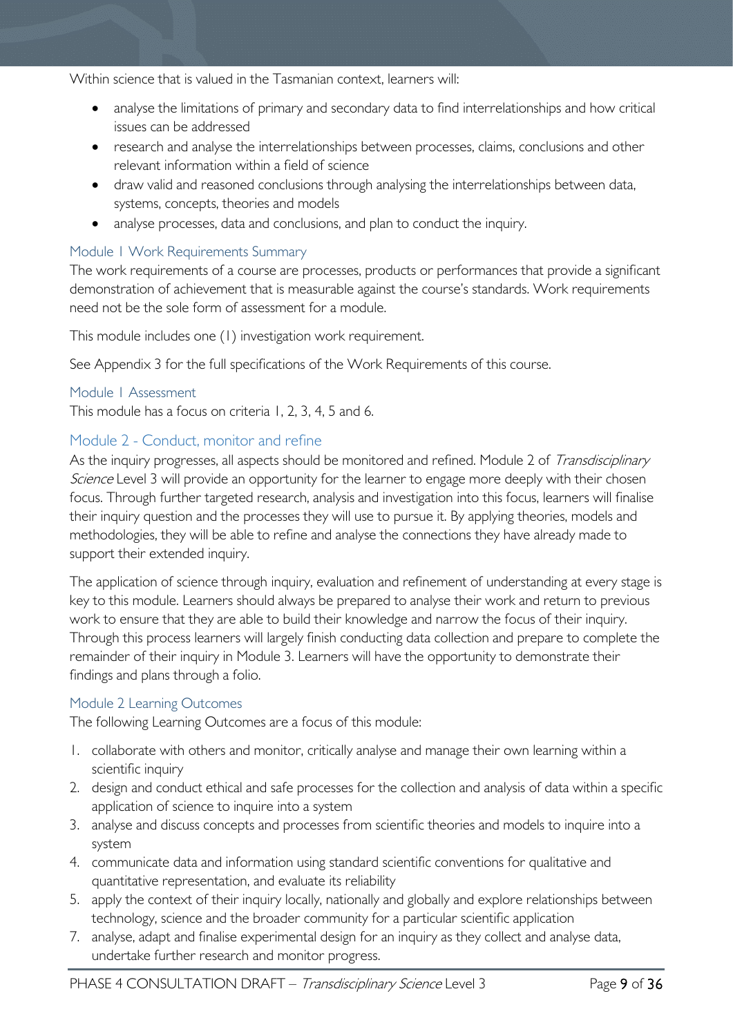Within science that is valued in the Tasmanian context, learners will:

- analyse the limitations of primary and secondary data to find interrelationships and how critical issues can be addressed
- research and analyse the interrelationships between processes, claims, conclusions and other relevant information within a field of science
- draw valid and reasoned conclusions through analysing the interrelationships between data, systems, concepts, theories and models
- analyse processes, data and conclusions, and plan to conduct the inquiry.

### <span id="page-8-0"></span>Module 1 Work Requirements Summary

The work requirements of a course are processes, products or performances that provide a significant demonstration of achievement that is measurable against the course's standards. Work requirements need not be the sole form of assessment for a module.

This module includes one (1) investigation work requirement.

See Appendix 3 for the full specifications of the Work Requirements of this course.

### <span id="page-8-1"></span>Module 1 Assessment

This module has a focus on criteria 1, 2, 3, 4, 5 and 6.

### <span id="page-8-2"></span>Module 2 - Conduct, monitor and refine

As the inquiry progresses, all aspects should be monitored and refined. Module 2 of Transdisciplinary Science Level 3 will provide an opportunity for the learner to engage more deeply with their chosen focus. Through further targeted research, analysis and investigation into this focus, learners will finalise their inquiry question and the processes they will use to pursue it. By applying theories, models and methodologies, they will be able to refine and analyse the connections they have already made to support their extended inquiry.

The application of science through inquiry, evaluation and refinement of understanding at every stage is key to this module. Learners should always be prepared to analyse their work and return to previous work to ensure that they are able to build their knowledge and narrow the focus of their inquiry. Through this process learners will largely finish conducting data collection and prepare to complete the remainder of their inquiry in Module 3. Learners will have the opportunity to demonstrate their findings and plans through a folio.

### <span id="page-8-3"></span>Module 2 Learning Outcomes

The following Learning Outcomes are a focus of this module:

- 1. collaborate with others and monitor, critically analyse and manage their own learning within a scientific inquiry
- 2. design and conduct ethical and safe processes for the collection and analysis of data within a specific application of science to inquire into a system
- 3. analyse and discuss concepts and processes from scientific theories and models to inquire into a system
- 4. communicate data and information using standard scientific conventions for qualitative and quantitative representation, and evaluate its reliability
- 5. apply the context of their inquiry locally, nationally and globally and explore relationships between technology, science and the broader community for a particular scientific application
- 7. analyse, adapt and finalise experimental design for an inquiry as they collect and analyse data, undertake further research and monitor progress.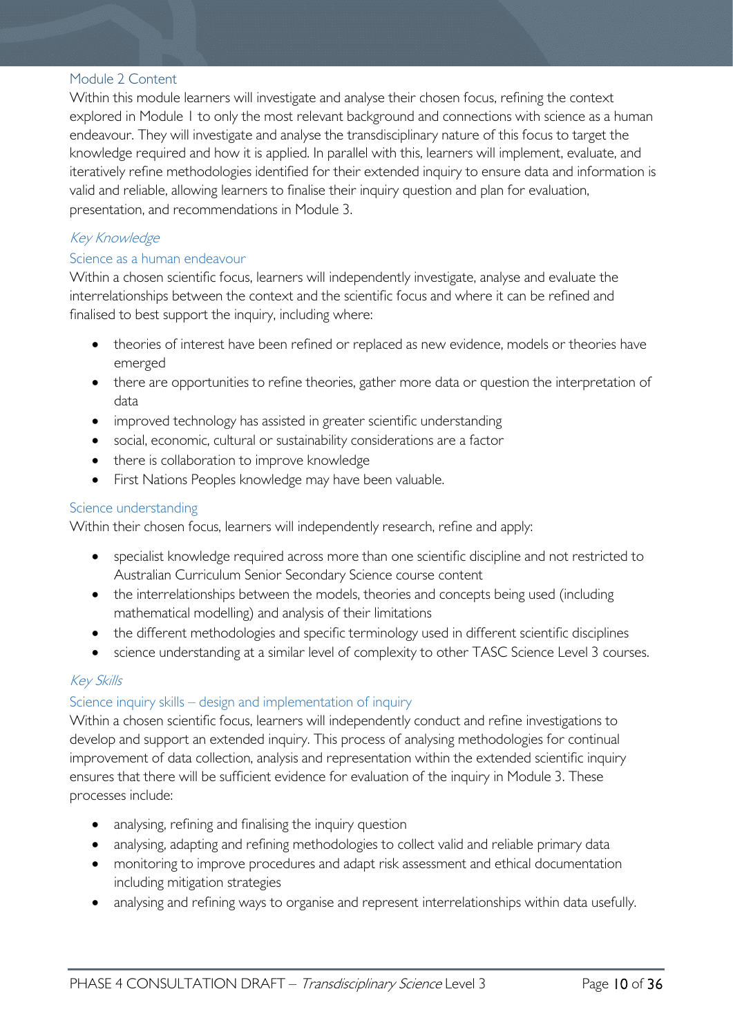#### <span id="page-9-0"></span>Module 2 Content

Within this module learners will investigate and analyse their chosen focus, refining the context explored in Module 1 to only the most relevant background and connections with science as a human endeavour. They will investigate and analyse the transdisciplinary nature of this focus to target the knowledge required and how it is applied. In parallel with this, learners will implement, evaluate, and iteratively refine methodologies identified for their extended inquiry to ensure data and information is valid and reliable, allowing learners to finalise their inquiry question and plan for evaluation, presentation, and recommendations in Module 3.

### Key Knowledge

### Science as a human endeavour

Within a chosen scientific focus, learners will independently investigate, analyse and evaluate the interrelationships between the context and the scientific focus and where it can be refined and finalised to best support the inquiry, including where:

- theories of interest have been refined or replaced as new evidence, models or theories have emerged
- there are opportunities to refine theories, gather more data or question the interpretation of data
- improved technology has assisted in greater scientific understanding
- social, economic, cultural or sustainability considerations are a factor
- there is collaboration to improve knowledge
- First Nations Peoples knowledge may have been valuable.

### Science understanding

Within their chosen focus, learners will independently research, refine and apply:

- specialist knowledge required across more than one scientific discipline and not restricted to Australian Curriculum Senior Secondary Science course content
- the interrelationships between the models, theories and concepts being used (including mathematical modelling) and analysis of their limitations
- the different methodologies and specific terminology used in different scientific disciplines
- science understanding at a similar level of complexity to other TASC Science Level 3 courses.

### Key Skills

### Science inquiry skills – design and implementation of inquiry

Within a chosen scientific focus, learners will independently conduct and refine investigations to develop and support an extended inquiry. This process of analysing methodologies for continual improvement of data collection, analysis and representation within the extended scientific inquiry ensures that there will be sufficient evidence for evaluation of the inquiry in Module 3. These processes include:

- analysing, refining and finalising the inquiry question
- analysing, adapting and refining methodologies to collect valid and reliable primary data
- monitoring to improve procedures and adapt risk assessment and ethical documentation including mitigation strategies
- analysing and refining ways to organise and represent interrelationships within data usefully.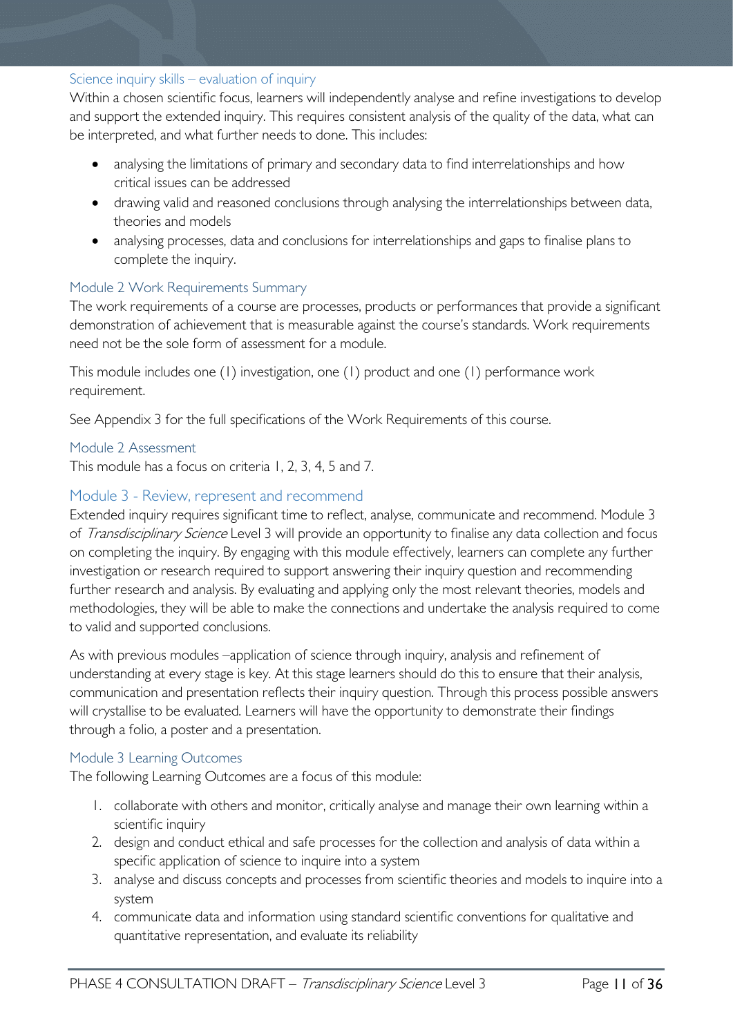### Science inquiry skills – evaluation of inquiry

Within a chosen scientific focus, learners will independently analyse and refine investigations to develop and support the extended inquiry. This requires consistent analysis of the quality of the data, what can be interpreted, and what further needs to done. This includes:

- analysing the limitations of primary and secondary data to find interrelationships and how critical issues can be addressed
- drawing valid and reasoned conclusions through analysing the interrelationships between data, theories and models
- analysing processes, data and conclusions for interrelationships and gaps to finalise plans to complete the inquiry.

### <span id="page-10-0"></span>Module 2 Work Requirements Summary

The work requirements of a course are processes, products or performances that provide a significant demonstration of achievement that is measurable against the course's standards. Work requirements need not be the sole form of assessment for a module.

This module includes one (1) investigation, one (1) product and one (1) performance work requirement.

See Appendix 3 for the full specifications of the Work Requirements of this course.

#### <span id="page-10-1"></span>Module 2 Assessment

This module has a focus on criteria 1, 2, 3, 4, 5 and 7.

### <span id="page-10-2"></span>Module 3 - Review, represent and recommend

Extended inquiry requires significant time to reflect, analyse, communicate and recommend. Module 3 of Transdisciplinary Science Level 3 will provide an opportunity to finalise any data collection and focus on completing the inquiry. By engaging with this module effectively, learners can complete any further investigation or research required to support answering their inquiry question and recommending further research and analysis. By evaluating and applying only the most relevant theories, models and methodologies, they will be able to make the connections and undertake the analysis required to come to valid and supported conclusions.

As with previous modules –application of science through inquiry, analysis and refinement of understanding at every stage is key. At this stage learners should do this to ensure that their analysis, communication and presentation reflects their inquiry question. Through this process possible answers will crystallise to be evaluated. Learners will have the opportunity to demonstrate their findings through a folio, a poster and a presentation.

#### <span id="page-10-3"></span>Module 3 Learning Outcomes

The following Learning Outcomes are a focus of this module:

- 1. collaborate with others and monitor, critically analyse and manage their own learning within a scientific inquiry
- 2. design and conduct ethical and safe processes for the collection and analysis of data within a specific application of science to inquire into a system
- 3. analyse and discuss concepts and processes from scientific theories and models to inquire into a system
- 4. communicate data and information using standard scientific conventions for qualitative and quantitative representation, and evaluate its reliability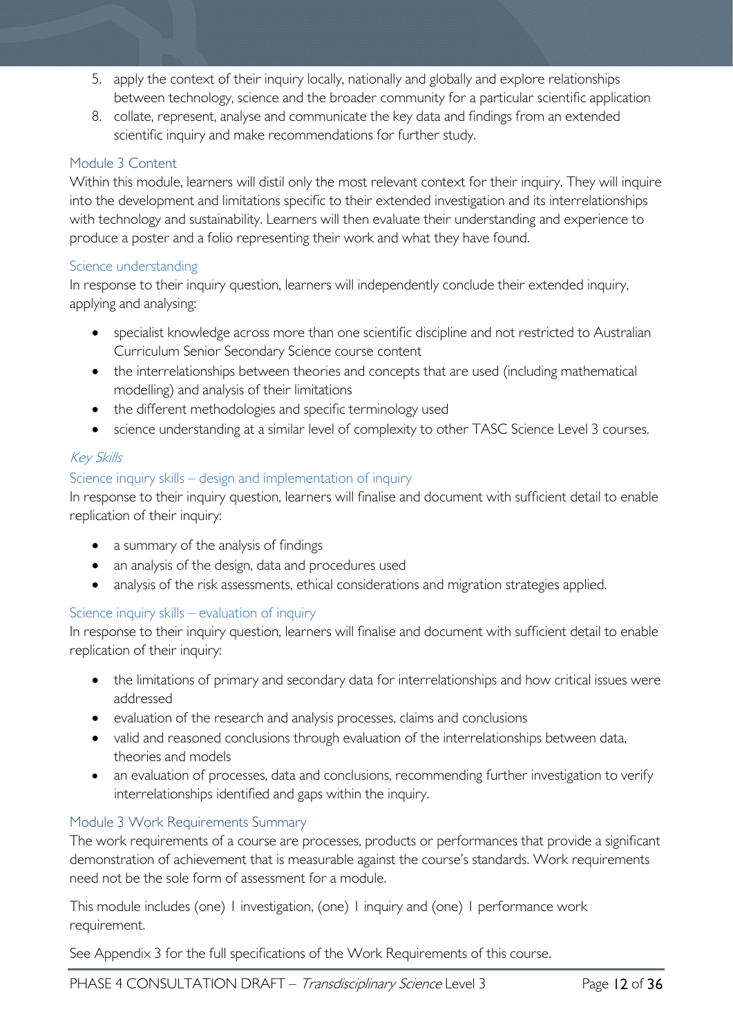- 5. apply the context of their inquiry locally, nationally and globally and explore relationships between technology, science and the broader community for a particular scientific application
- 8. collate, represent, analyse and communicate the key data and findings from an extended scientific inquiry and make recommendations for further study.

### <span id="page-11-0"></span>Module 3 Content

Within this module, learners will distil only the most relevant context for their inquiry. They will inquire into the development and limitations specific to their extended investigation and its interrelationships with technology and sustainability. Learners will then evaluate their understanding and experience to produce a poster and a folio representing their work and what they have found.

### Science understanding

In response to their inquiry question, learners will independently conclude their extended inquiry, applying and analysing:

- specialist knowledge across more than one scientific discipline and not restricted to Australian Curriculum Senior Secondary Science course content
- the interrelationships between theories and concepts that are used (including mathematical modelling) and analysis of their limitations
- the different methodologies and specific terminology used
- science understanding at a similar level of complexity to other TASC Science Level 3 courses.

### Key Skills

### Science inquiry skills – design and implementation of inquiry

In response to their inquiry question, learners will finalise and document with sufficient detail to enable replication of their inquiry:

- a summary of the analysis of findings
- an analysis of the design, data and procedures used
- analysis of the risk assessments, ethical considerations and migration strategies applied.

### Science inquiry skills – evaluation of inquiry

In response to their inquiry question, learners will finalise and document with sufficient detail to enable replication of their inquiry:

- the limitations of primary and secondary data for interrelationships and how critical issues were addressed
- evaluation of the research and analysis processes, claims and conclusions
- valid and reasoned conclusions through evaluation of the interrelationships between data, theories and models
- an evaluation of processes, data and conclusions, recommending further investigation to verify interrelationships identified and gaps within the inquiry.

### <span id="page-11-1"></span>Module 3 Work Requirements Summary

The work requirements of a course are processes, products or performances that provide a significant demonstration of achievement that is measurable against the course's standards. Work requirements need not be the sole form of assessment for a module.

This module includes (one) 1 investigation, (one) 1 inquiry and (one) 1 performance work requirement.

See Appendix 3 for the full specifications of the Work Requirements of this course.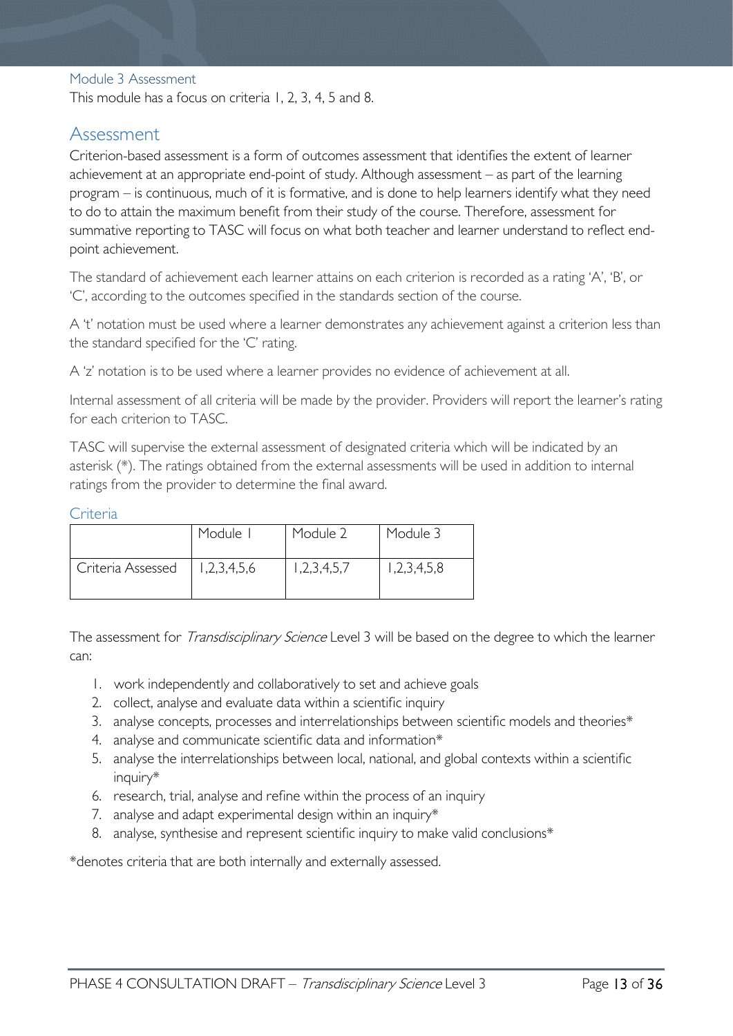#### <span id="page-12-0"></span>Module 3 Assessment

This module has a focus on criteria 1, 2, 3, 4, 5 and 8.

### <span id="page-12-1"></span>Assessment

Criterion-based assessment is a form of outcomes assessment that identifies the extent of learner achievement at an appropriate end-point of study. Although assessment – as part of the learning program – is continuous, much of it is formative, and is done to help learners identify what they need to do to attain the maximum benefit from their study of the course. Therefore, assessment for summative reporting to TASC will focus on what both teacher and learner understand to reflect endpoint achievement.

The standard of achievement each learner attains on each criterion is recorded as a rating 'A', 'B', or 'C', according to the outcomes specified in the standards section of the course.

A 't' notation must be used where a learner demonstrates any achievement against a criterion less than the standard specified for the 'C' rating.

A 'z' notation is to be used where a learner provides no evidence of achievement at all.

Internal assessment of all criteria will be made by the provider. Providers will report the learner's rating for each criterion to TASC.

TASC will supervise the external assessment of designated criteria which will be indicated by an asterisk (\*). The ratings obtained from the external assessments will be used in addition to internal ratings from the provider to determine the final award.

#### <span id="page-12-2"></span>Criteria

|                   | Module I    | Module 2    | Module 3    |
|-------------------|-------------|-------------|-------------|
| Criteria Assessed | 1,2,3,4,5,6 | 1,2,3,4,5,7 | 1,2,3,4,5,8 |

The assessment for *Transdisciplinary Science* Level 3 will be based on the degree to which the learner can:

- 1. work independently and collaboratively to set and achieve goals
- 2. collect, analyse and evaluate data within a scientific inquiry
- 3. analyse concepts, processes and interrelationships between scientific models and theories\*
- 4. analyse and communicate scientific data and information\*
- 5. analyse the interrelationships between local, national, and global contexts within a scientific inquiry\*
- 6. research, trial, analyse and refine within the process of an inquiry
- 7. analyse and adapt experimental design within an inquiry\*
- 8. analyse, synthesise and represent scientific inquiry to make valid conclusions\*

\*denotes criteria that are both internally and externally assessed.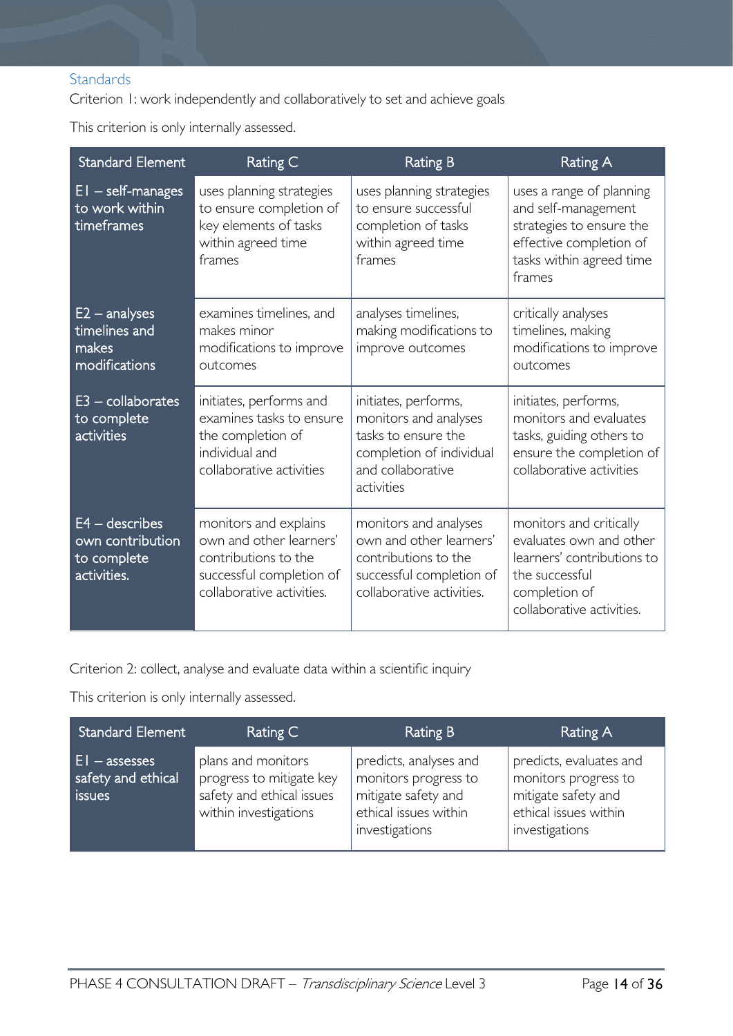### <span id="page-13-0"></span>**Standards**

Criterion 1: work independently and collaboratively to set and achieve goals

This criterion is only internally assessed.

| <b>Standard Element</b>                                            | Rating C                                                                                                                          | <b>Rating B</b>                                                                                                                     | <b>Rating A</b>                                                                                                                                  |
|--------------------------------------------------------------------|-----------------------------------------------------------------------------------------------------------------------------------|-------------------------------------------------------------------------------------------------------------------------------------|--------------------------------------------------------------------------------------------------------------------------------------------------|
| $EI - self-manages$<br>to work within<br>timeframes                | uses planning strategies<br>to ensure completion of<br>key elements of tasks<br>within agreed time<br>frames                      | uses planning strategies<br>to ensure successful<br>completion of tasks<br>within agreed time<br>frames                             | uses a range of planning<br>and self-management<br>strategies to ensure the<br>effective completion of<br>tasks within agreed time<br>frames     |
| $E2 -$ analyses<br>timelines and<br>makes<br>modifications         | examines timelines, and<br>makes minor<br>modifications to improve<br>outcomes                                                    | analyses timelines,<br>making modifications to<br>improve outcomes                                                                  | critically analyses<br>timelines, making<br>modifications to improve<br>outcomes                                                                 |
| $E3$ – collaborates<br>to complete<br>activities                   | initiates, performs and<br>examines tasks to ensure<br>the completion of<br>individual and<br>collaborative activities            | initiates, performs,<br>monitors and analyses<br>tasks to ensure the<br>completion of individual<br>and collaborative<br>activities | initiates, performs,<br>monitors and evaluates<br>tasks, guiding others to<br>ensure the completion of<br>collaborative activities               |
| $E4 -$ describes<br>own contribution<br>to complete<br>activities. | monitors and explains<br>own and other learners'<br>contributions to the<br>successful completion of<br>collaborative activities. | monitors and analyses<br>own and other learners'<br>contributions to the<br>successful completion of<br>collaborative activities.   | monitors and critically<br>evaluates own and other<br>learners' contributions to<br>the successful<br>completion of<br>collaborative activities. |

Criterion 2: collect, analyse and evaluate data within a scientific inquiry

This criterion is only internally assessed.

| <b>Standard Element</b>                         | Rating C                                                                                             | Rating B                                                                                                         | Rating A                                                                                                          |
|-------------------------------------------------|------------------------------------------------------------------------------------------------------|------------------------------------------------------------------------------------------------------------------|-------------------------------------------------------------------------------------------------------------------|
| $E1 -$ assesses<br>safety and ethical<br>issues | plans and monitors<br>progress to mitigate key<br>safety and ethical issues<br>within investigations | predicts, analyses and<br>monitors progress to<br>mitigate safety and<br>ethical issues within<br>investigations | predicts, evaluates and<br>monitors progress to<br>mitigate safety and<br>ethical issues within<br>investigations |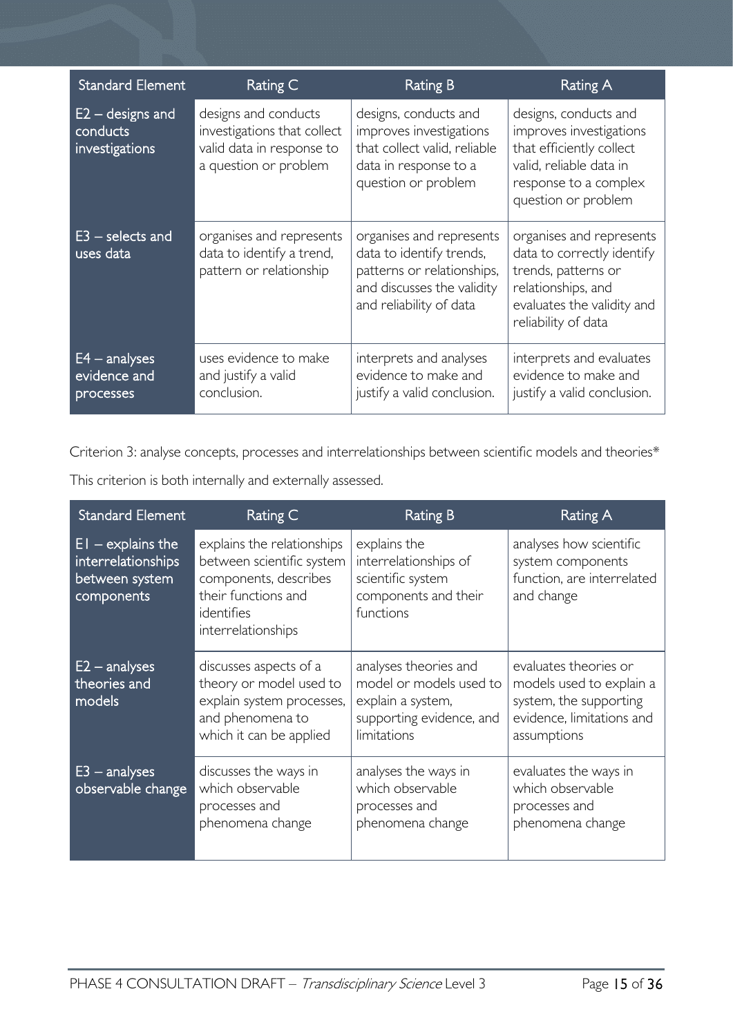| <b>Standard Element</b>                          | Rating C                                                                                                  | Rating B                                                                                                                                    | Rating A                                                                                                                                                 |
|--------------------------------------------------|-----------------------------------------------------------------------------------------------------------|---------------------------------------------------------------------------------------------------------------------------------------------|----------------------------------------------------------------------------------------------------------------------------------------------------------|
| $E2 -$ designs and<br>conducts<br>investigations | designs and conducts<br>investigations that collect<br>valid data in response to<br>a question or problem | designs, conducts and<br>improves investigations<br>that collect valid, reliable<br>data in response to a<br>question or problem            | designs, conducts and<br>improves investigations<br>that efficiently collect<br>valid, reliable data in<br>response to a complex<br>question or problem  |
| $E3$ – selects and<br>uses data                  | organises and represents<br>data to identify a trend,<br>pattern or relationship                          | organises and represents<br>data to identify trends,<br>patterns or relationships,<br>and discusses the validity<br>and reliability of data | organises and represents<br>data to correctly identify<br>trends, patterns or<br>relationships, and<br>evaluates the validity and<br>reliability of data |
| $E4 -$ analyses<br>evidence and<br>processes     | uses evidence to make<br>and justify a valid<br>conclusion.                                               | interprets and analyses<br>evidence to make and<br>justify a valid conclusion.                                                              | interprets and evaluates<br>evidence to make and<br>justify a valid conclusion.                                                                          |

Criterion 3: analyse concepts, processes and interrelationships between scientific models and theories\*

| <b>Standard Element</b>                                                   | Rating C                                                                                                                                    | <b>Rating B</b>                                                                                                  | Rating A                                                                                                                |
|---------------------------------------------------------------------------|---------------------------------------------------------------------------------------------------------------------------------------------|------------------------------------------------------------------------------------------------------------------|-------------------------------------------------------------------------------------------------------------------------|
| $EI -$ explains the<br>interrelationships<br>between system<br>components | explains the relationships<br>between scientific system<br>components, describes<br>their functions and<br>identifies<br>interrelationships | explains the<br>interrelationships of<br>scientific system<br>components and their<br>functions                  | analyses how scientific<br>system components<br>function, are interrelated<br>and change                                |
| $E2 -$ analyses<br>theories and<br>models                                 | discusses aspects of a<br>theory or model used to<br>explain system processes,<br>and phenomena to<br>which it can be applied               | analyses theories and<br>model or models used to<br>explain a system,<br>supporting evidence, and<br>limitations | evaluates theories or<br>models used to explain a<br>system, the supporting<br>evidence, limitations and<br>assumptions |
| $E3 -$ analyses<br>observable change                                      | discusses the ways in<br>which observable<br>processes and<br>phenomena change                                                              | analyses the ways in<br>which observable<br>processes and<br>phenomena change                                    | evaluates the ways in<br>which observable<br>processes and<br>phenomena change                                          |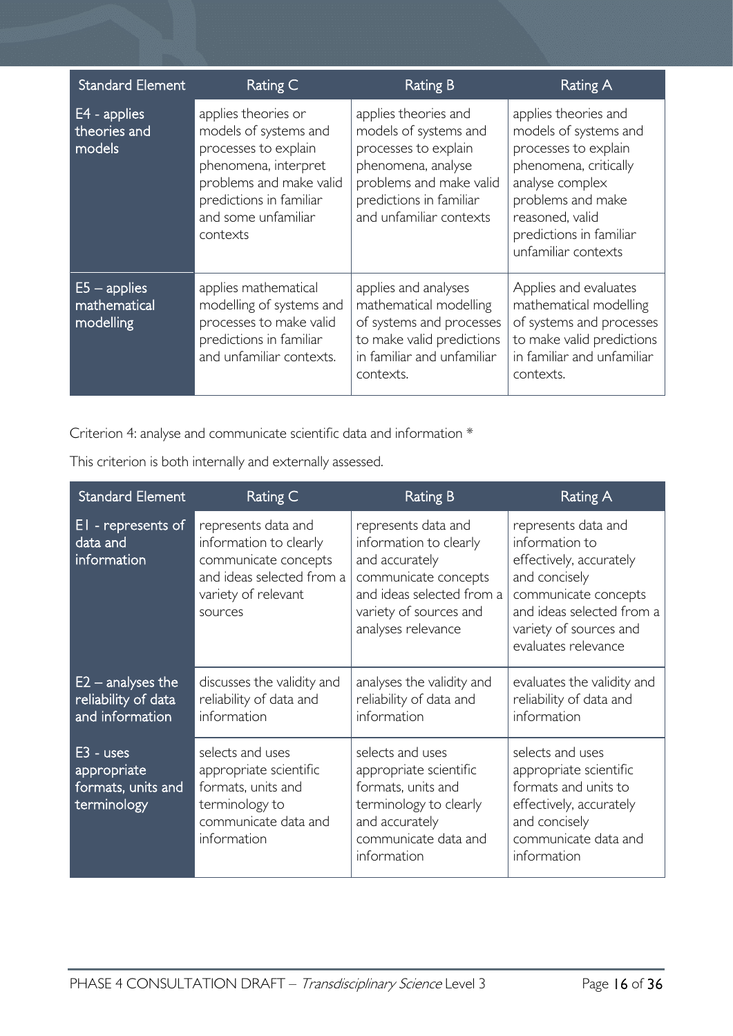| <b>Standard Element</b>                     | Rating C                                                                                                                                                                              | <b>Rating B</b>                                                                                                                                                              | Rating A                                                                                                                                                                                                    |
|---------------------------------------------|---------------------------------------------------------------------------------------------------------------------------------------------------------------------------------------|------------------------------------------------------------------------------------------------------------------------------------------------------------------------------|-------------------------------------------------------------------------------------------------------------------------------------------------------------------------------------------------------------|
| E4 - applies<br>theories and<br>models      | applies theories or<br>models of systems and<br>processes to explain<br>phenomena, interpret<br>problems and make valid<br>predictions in familiar<br>and some unfamiliar<br>contexts | applies theories and<br>models of systems and<br>processes to explain<br>phenomena, analyse<br>problems and make valid<br>predictions in familiar<br>and unfamiliar contexts | applies theories and<br>models of systems and<br>processes to explain<br>phenomena, critically<br>analyse complex<br>problems and make<br>reasoned, valid<br>predictions in familiar<br>unfamiliar contexts |
| $E5 - applies$<br>mathematical<br>modelling | applies mathematical<br>modelling of systems and<br>processes to make valid<br>predictions in familiar<br>and unfamiliar contexts.                                                    | applies and analyses<br>mathematical modelling<br>of systems and processes<br>to make valid predictions<br>in familiar and unfamiliar<br>contexts.                           | Applies and evaluates<br>mathematical modelling<br>of systems and processes<br>to make valid predictions<br>in familiar and unfamiliar<br>contexts.                                                         |

Criterion 4: analyse and communicate scientific data and information \*

| <b>Standard Element</b>                                         | <b>Rating C</b>                                                                                                                      | <b>Rating B</b>                                                                                                                                                      | Rating A                                                                                                                                                                                |
|-----------------------------------------------------------------|--------------------------------------------------------------------------------------------------------------------------------------|----------------------------------------------------------------------------------------------------------------------------------------------------------------------|-----------------------------------------------------------------------------------------------------------------------------------------------------------------------------------------|
| EI - represents of<br>data and<br>information                   | represents data and<br>information to clearly<br>communicate concepts<br>and ideas selected from a<br>variety of relevant<br>sources | represents data and<br>information to clearly<br>and accurately<br>communicate concepts<br>and ideas selected from a<br>variety of sources and<br>analyses relevance | represents data and<br>information to<br>effectively, accurately<br>and concisely<br>communicate concepts<br>and ideas selected from a<br>variety of sources and<br>evaluates relevance |
| $E2$ – analyses the<br>reliability of data<br>and information   | discusses the validity and<br>reliability of data and<br>information                                                                 | analyses the validity and<br>reliability of data and<br>information                                                                                                  | evaluates the validity and<br>reliability of data and<br>information                                                                                                                    |
| $E3 - uses$<br>appropriate<br>formats, units and<br>terminology | selects and uses<br>appropriate scientific<br>formats, units and<br>terminology to<br>communicate data and<br>information            | selects and uses<br>appropriate scientific<br>formats, units and<br>terminology to clearly<br>and accurately<br>communicate data and<br>information                  | selects and uses<br>appropriate scientific<br>formats and units to<br>effectively, accurately<br>and concisely<br>communicate data and<br>information                                   |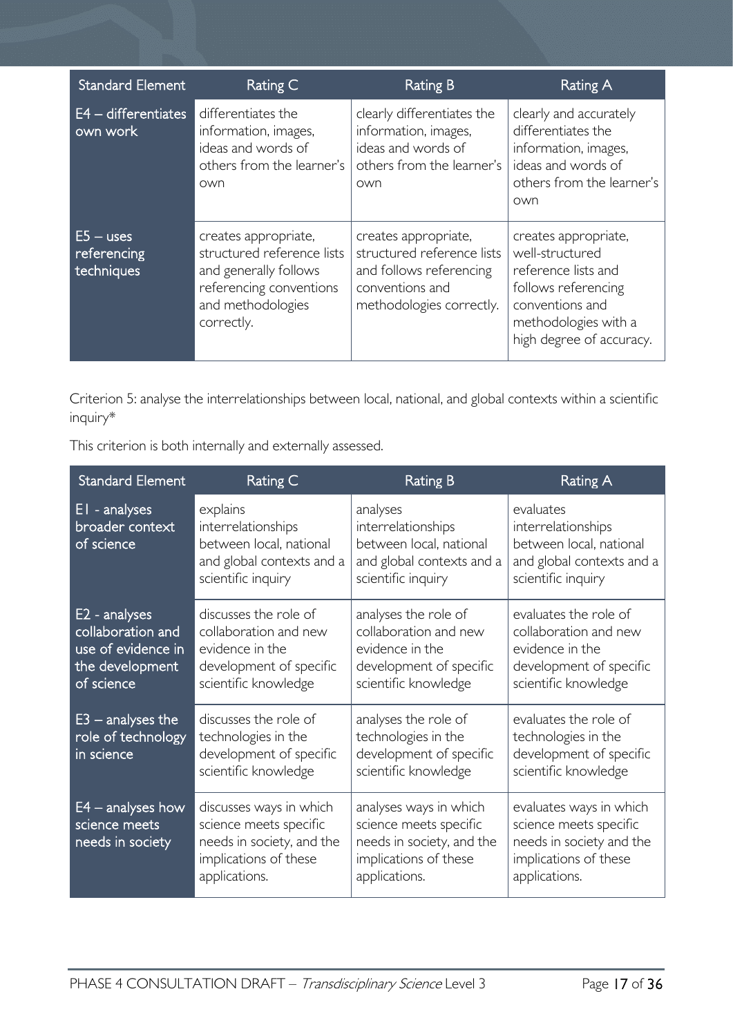| <b>Standard Element</b>                  | Rating C                                                                                                                                  | <b>Rating B</b>                                                                                                              | <b>Rating A</b>                                                                                                                                              |
|------------------------------------------|-------------------------------------------------------------------------------------------------------------------------------------------|------------------------------------------------------------------------------------------------------------------------------|--------------------------------------------------------------------------------------------------------------------------------------------------------------|
| $E4 -$ differentiates<br>own work        | differentiates the<br>information, images,<br>ideas and words of<br>others from the learner's<br>own                                      | clearly differentiates the<br>information, images,<br>ideas and words of<br>others from the learner's<br>own                 | clearly and accurately<br>differentiates the<br>information, images,<br>ideas and words of<br>others from the learner's<br>own                               |
| $E5 - uses$<br>referencing<br>techniques | creates appropriate,<br>structured reference lists<br>and generally follows<br>referencing conventions<br>and methodologies<br>correctly. | creates appropriate,<br>structured reference lists<br>and follows referencing<br>conventions and<br>methodologies correctly. | creates appropriate,<br>well-structured<br>reference lists and<br>follows referencing<br>conventions and<br>methodologies with a<br>high degree of accuracy. |

Criterion 5: analyse the interrelationships between local, national, and global contexts within a scientific inquiry\*

| <b>Standard Element</b>                                                                   | Rating C                                                                                                                 | <b>Rating B</b>                                                                                                         | <b>Rating A</b>                                                                                                         |
|-------------------------------------------------------------------------------------------|--------------------------------------------------------------------------------------------------------------------------|-------------------------------------------------------------------------------------------------------------------------|-------------------------------------------------------------------------------------------------------------------------|
| EI - analyses<br>broader context<br>of science                                            | explains<br>interrelationships<br>between local, national<br>and global contexts and a<br>scientific inquiry             | analyses<br>interrelationships<br>between local, national<br>and global contexts and a<br>scientific inquiry            | evaluates<br>interrelationships<br>between local, national<br>and global contexts and a<br>scientific inquiry           |
| E2 - analyses<br>collaboration and<br>use of evidence in<br>the development<br>of science | discusses the role of<br>collaboration and new<br>evidence in the<br>development of specific<br>scientific knowledge     | analyses the role of<br>collaboration and new<br>evidence in the<br>development of specific<br>scientific knowledge     | evaluates the role of<br>collaboration and new<br>evidence in the<br>development of specific<br>scientific knowledge    |
| $E3$ – analyses the<br>role of technology<br>in science                                   | discusses the role of<br>technologies in the<br>development of specific<br>scientific knowledge                          | analyses the role of<br>technologies in the<br>development of specific<br>scientific knowledge                          | evaluates the role of<br>technologies in the<br>development of specific<br>scientific knowledge                         |
| $E4$ – analyses how<br>science meets<br>needs in society                                  | discusses ways in which<br>science meets specific<br>needs in society, and the<br>implications of these<br>applications. | analyses ways in which<br>science meets specific<br>needs in society, and the<br>implications of these<br>applications. | evaluates ways in which<br>science meets specific<br>needs in society and the<br>implications of these<br>applications. |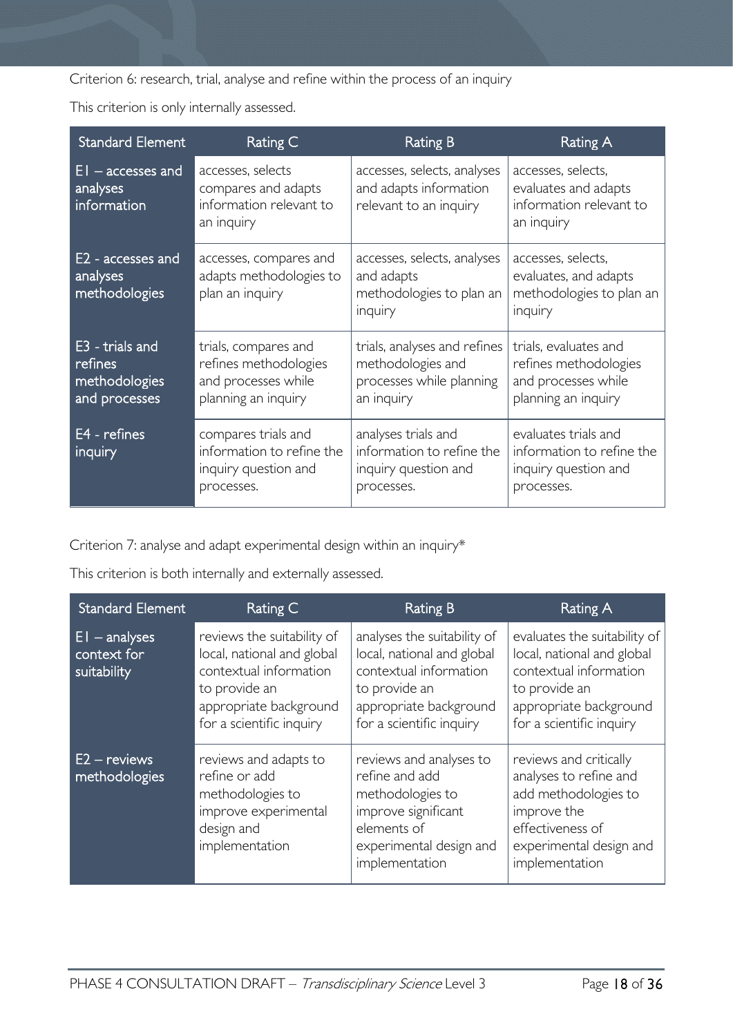Criterion 6: research, trial, analyse and refine within the process of an inquiry

This criterion is only internally assessed.

| <b>Standard Element</b>                                      | Rating C                                                                                    | <b>Rating B</b>                                                                             | Rating A                                                                                     |
|--------------------------------------------------------------|---------------------------------------------------------------------------------------------|---------------------------------------------------------------------------------------------|----------------------------------------------------------------------------------------------|
| $EI -$ accesses and<br>analyses<br>information               | accesses, selects<br>compares and adapts<br>information relevant to<br>an inquiry           | accesses, selects, analyses<br>and adapts information<br>relevant to an inquiry             | accesses, selects,<br>evaluates and adapts<br>information relevant to<br>an inquiry          |
| E2 - accesses and<br>analyses<br>methodologies               | accesses, compares and<br>adapts methodologies to<br>plan an inquiry                        | accesses, selects, analyses<br>and adapts<br>methodologies to plan an<br>inquiry            | accesses, selects,<br>evaluates, and adapts<br>methodologies to plan an<br>inquiry           |
| E3 - trials and<br>refines<br>methodologies<br>and processes | trials, compares and<br>refines methodologies<br>and processes while<br>planning an inquiry | trials, analyses and refines<br>methodologies and<br>processes while planning<br>an inquiry | trials, evaluates and<br>refines methodologies<br>and processes while<br>planning an inquiry |
| E4 - refines<br>inquiry                                      | compares trials and<br>information to refine the<br>inquiry question and<br>processes.      | analyses trials and<br>information to refine the<br>inquiry question and<br>processes.      | evaluates trials and<br>information to refine the<br>inquiry question and<br>processes.      |

Criterion 7: analyse and adapt experimental design within an inquiry\*

| <b>Standard Element</b>                       | Rating C                                                                                                                                                  | <b>Rating B</b>                                                                                                                                            | <b>Rating A</b>                                                                                                                                             |
|-----------------------------------------------|-----------------------------------------------------------------------------------------------------------------------------------------------------------|------------------------------------------------------------------------------------------------------------------------------------------------------------|-------------------------------------------------------------------------------------------------------------------------------------------------------------|
| $EI$ – analyses<br>context for<br>suitability | reviews the suitability of<br>local, national and global<br>contextual information<br>to provide an<br>appropriate background<br>for a scientific inquiry | analyses the suitability of<br>local, national and global<br>contextual information<br>to provide an<br>appropriate background<br>for a scientific inquiry | evaluates the suitability of<br>local, national and global<br>contextual information<br>to provide an<br>appropriate background<br>for a scientific inquiry |
| $E2 -$ reviews<br>methodologies               | reviews and adapts to<br>refine or add<br>methodologies to<br>improve experimental<br>design and<br>implementation                                        | reviews and analyses to<br>refine and add<br>methodologies to<br>improve significant<br>elements of<br>experimental design and<br>implementation           | reviews and critically<br>analyses to refine and<br>add methodologies to<br>improve the<br>effectiveness of<br>experimental design and<br>implementation    |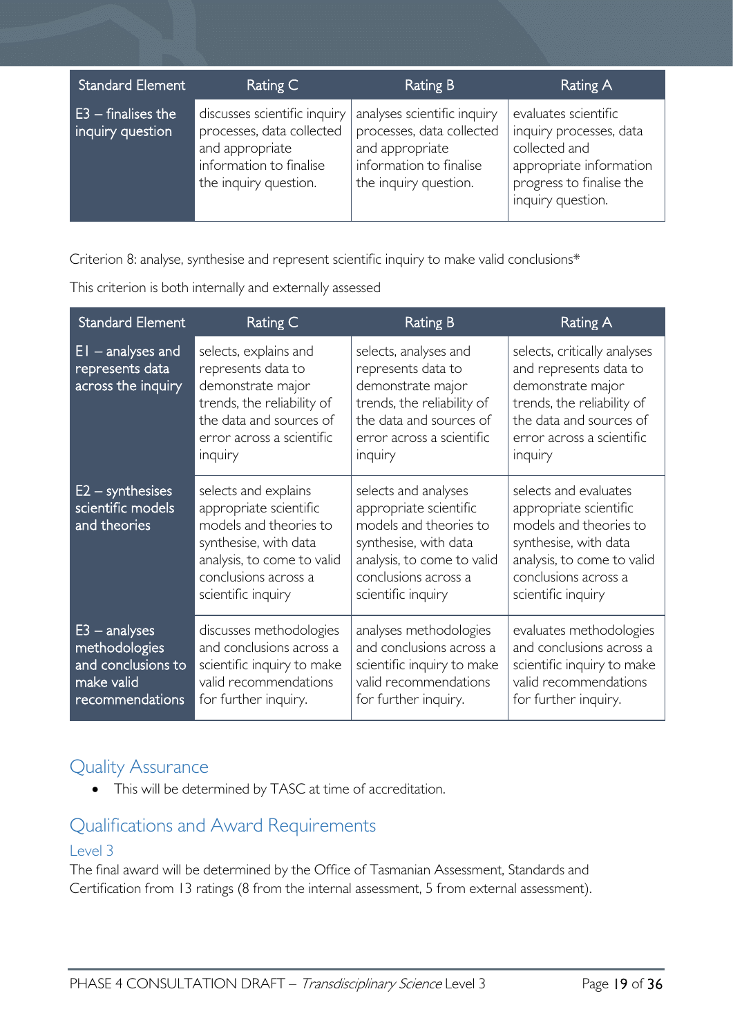| <b>Standard Element</b>                  | Rating C                                                                                                                         | <b>Rating B</b>                                                                                                                 | Rating A                                                                                                                                     |
|------------------------------------------|----------------------------------------------------------------------------------------------------------------------------------|---------------------------------------------------------------------------------------------------------------------------------|----------------------------------------------------------------------------------------------------------------------------------------------|
| $E3$ – finalises the<br>inquiry question | discusses scientific inquiry<br>processes, data collected<br>and appropriate<br>information to finalise<br>the inquiry question. | analyses scientific inquiry<br>processes, data collected<br>and appropriate<br>information to finalise<br>the inquiry question. | evaluates scientific<br>inquiry processes, data<br>collected and<br>appropriate information<br>progress to finalise the<br>inquiry question. |

Criterion 8: analyse, synthesise and represent scientific inquiry to make valid conclusions\*

This criterion is both internally and externally assessed

| <b>Standard Element</b>                                                                 | Rating C                                                                                                                                                                      | <b>Rating B</b>                                                                                                                                                               | <b>Rating A</b>                                                                                                                                                                |
|-----------------------------------------------------------------------------------------|-------------------------------------------------------------------------------------------------------------------------------------------------------------------------------|-------------------------------------------------------------------------------------------------------------------------------------------------------------------------------|--------------------------------------------------------------------------------------------------------------------------------------------------------------------------------|
| $EI$ – analyses and<br>represents data<br>across the inquiry                            | selects, explains and<br>represents data to<br>demonstrate major<br>trends, the reliability of<br>the data and sources of<br>error across a scientific<br>inquiry             | selects, analyses and<br>represents data to<br>demonstrate major<br>trends, the reliability of<br>the data and sources of<br>error across a scientific<br>inquiry             | selects, critically analyses<br>and represents data to<br>demonstrate major<br>trends, the reliability of<br>the data and sources of<br>error across a scientific<br>inquiry   |
| $E2 -$ synthesises<br>scientific models<br>and theories                                 | selects and explains<br>appropriate scientific<br>models and theories to<br>synthesise, with data<br>analysis, to come to valid<br>conclusions across a<br>scientific inquiry | selects and analyses<br>appropriate scientific<br>models and theories to<br>synthesise, with data<br>analysis, to come to valid<br>conclusions across a<br>scientific inquiry | selects and evaluates<br>appropriate scientific<br>models and theories to<br>synthesise, with data<br>analysis, to come to valid<br>conclusions across a<br>scientific inquiry |
| $E3 -$ analyses<br>methodologies<br>and conclusions to<br>make valid<br>recommendations | discusses methodologies<br>and conclusions across a<br>scientific inquiry to make<br>valid recommendations<br>for further inquiry.                                            | analyses methodologies<br>and conclusions across a<br>scientific inquiry to make<br>valid recommendations<br>for further inquiry.                                             | evaluates methodologies<br>and conclusions across a<br>scientific inquiry to make<br>valid recommendations<br>for further inquiry.                                             |

### <span id="page-18-0"></span>Quality Assurance

• This will be determined by TASC at time of accreditation.

### <span id="page-18-1"></span>Qualifications and Award Requirements

### <span id="page-18-2"></span>Level 3

The final award will be determined by the Office of Tasmanian Assessment, Standards and Certification from 13 ratings (8 from the internal assessment, 5 from external assessment).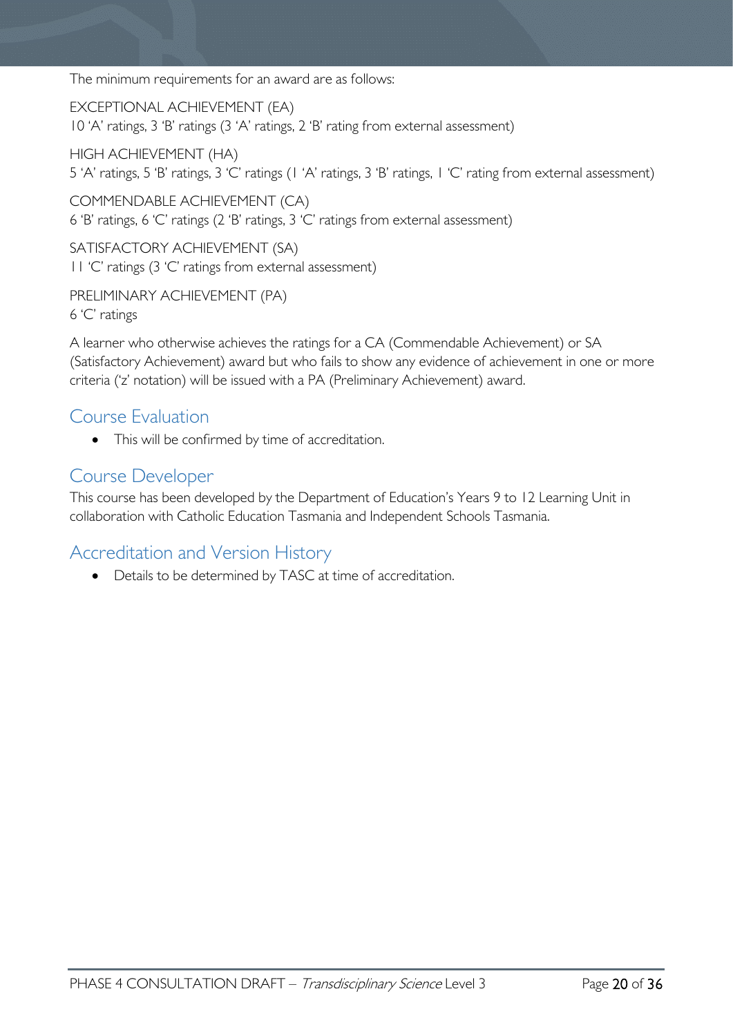The minimum requirements for an award are as follows:

EXCEPTIONAL ACHIEVEMENT (EA) 10 'A' ratings, 3 'B' ratings (3 'A' ratings, 2 'B' rating from external assessment)

HIGH ACHIEVEMENT (HA) 5 'A' ratings, 5 'B' ratings, 3 'C' ratings (1 'A' ratings, 3 'B' ratings, 1 'C' rating from external assessment)

COMMENDABLE ACHIEVEMENT (CA) 6 'B' ratings, 6 'C' ratings (2 'B' ratings, 3 'C' ratings from external assessment)

SATISFACTORY ACHIEVEMENT (SA) 11 'C' ratings (3 'C' ratings from external assessment)

PRELIMINARY ACHIEVEMENT (PA) 6 'C' ratings

A learner who otherwise achieves the ratings for a CA (Commendable Achievement) or SA (Satisfactory Achievement) award but who fails to show any evidence of achievement in one or more criteria ('z' notation) will be issued with a PA (Preliminary Achievement) award.

### <span id="page-19-0"></span>Course Evaluation

• This will be confirmed by time of accreditation.

### <span id="page-19-1"></span>Course Developer

This course has been developed by the Department of Education's Years 9 to 12 Learning Unit in collaboration with Catholic Education Tasmania and Independent Schools Tasmania.

### <span id="page-19-2"></span>Accreditation and Version History

• Details to be determined by TASC at time of accreditation.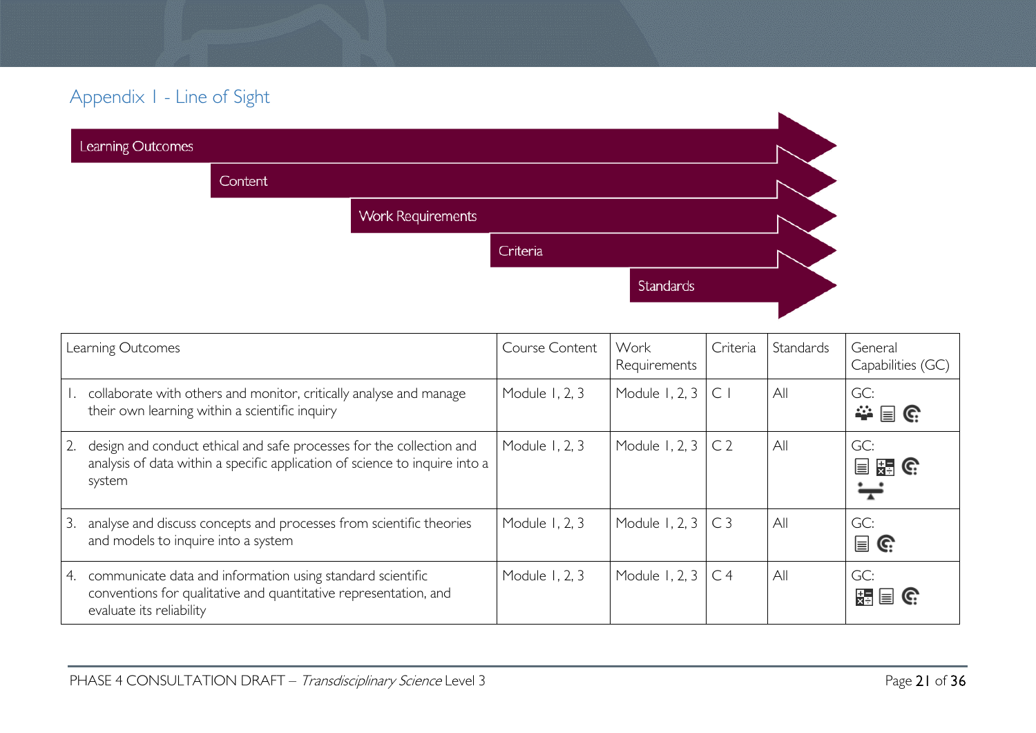# Appendix 1 - Line of Sight

| Learning Outcomes |         |                          |          |           |  |
|-------------------|---------|--------------------------|----------|-----------|--|
|                   | Content |                          |          |           |  |
|                   |         | <b>Work Requirements</b> |          |           |  |
|                   |         |                          | Criteria |           |  |
|                   |         |                          |          | Standards |  |
|                   |         |                          |          |           |  |

<span id="page-20-0"></span>

|    | Learning Outcomes                                                                                                                                             | Course Content | Work<br>Requirements      | Criteria | Standards | General<br>Capabilities (GC)                               |
|----|---------------------------------------------------------------------------------------------------------------------------------------------------------------|----------------|---------------------------|----------|-----------|------------------------------------------------------------|
|    | collaborate with others and monitor, critically analyse and manage<br>their own learning within a scientific inquiry                                          | Module 1, 2, 3 | Module 1, 2, 3 $\vert$ C  |          | All       | GC:<br>幸目に                                                 |
|    | design and conduct ethical and safe processes for the collection and<br>analysis of data within a specific application of science to inquire into a<br>system | Module 1, 2, 3 | Module 1, 2, 3 $\mid$ C 2 |          | All       | GC:<br>■ <sub>¥■</sub> G                                   |
| 3. | analyse and discuss concepts and processes from scientific theories<br>and models to inquire into a system                                                    | Module 1, 2, 3 | Module 1, 2, 3 $\mid$ C 3 |          | All       | GC:<br>$\mathbf{a} \in \mathbb{R}^n$                       |
| 4. | communicate data and information using standard scientific<br>conventions for qualitative and quantitative representation, and<br>evaluate its reliability    | Module 1, 2, 3 | Module 1, 2, 3 $\mid$ C 4 |          | All       | GC:<br>$\mathbb{F}_{\mathbf{z}}$ $\mathbf{z}$ $\mathbf{z}$ |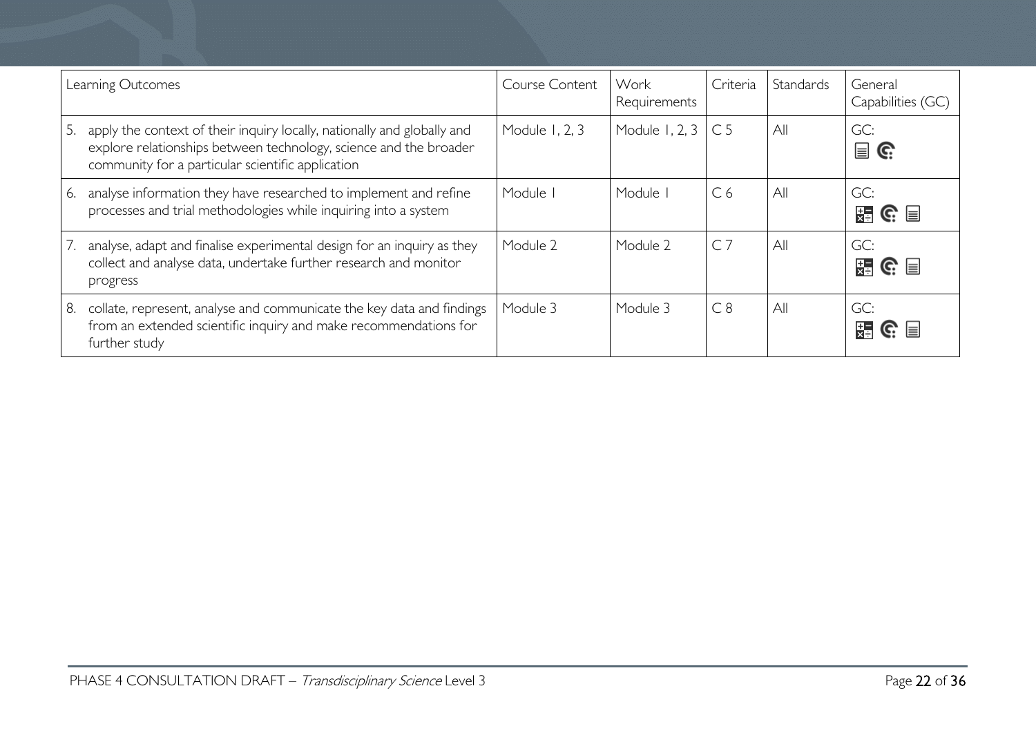| Learning Outcomes |                                                                                                                                                                                                   | Course Content | Work<br>Requirements | Criteria       | Standards | General<br>Capabilities (GC)       |
|-------------------|---------------------------------------------------------------------------------------------------------------------------------------------------------------------------------------------------|----------------|----------------------|----------------|-----------|------------------------------------|
| 5.                | apply the context of their inquiry locally, nationally and globally and<br>explore relationships between technology, science and the broader<br>community for a particular scientific application | Module 1, 2, 3 | Module 1, 2, 3       | C <sub>5</sub> | All       | GC:<br>冒<br>C.                     |
| 6.                | analyse information they have researched to implement and refine<br>processes and trial methodologies while inquiring into a system                                                               | Module I       | Module I             | C <sub>6</sub> | All       | GC:<br>装 G ■                       |
| 7.                | analyse, adapt and finalise experimental design for an inquiry as they<br>collect and analyse data, undertake further research and monitor<br>progress                                            | Module 2       | Module 2             | $C$ 7          | All       | GC:<br>$\mathbb{R}$ G $\mathbb{R}$ |
| 8.                | collate, represent, analyse and communicate the key data and findings<br>from an extended scientific inquiry and make recommendations for<br>further study                                        | Module 3       | Module 3             | C8             | All       | GC:<br>$\mathbb{R}$ G $\mathbb{R}$ |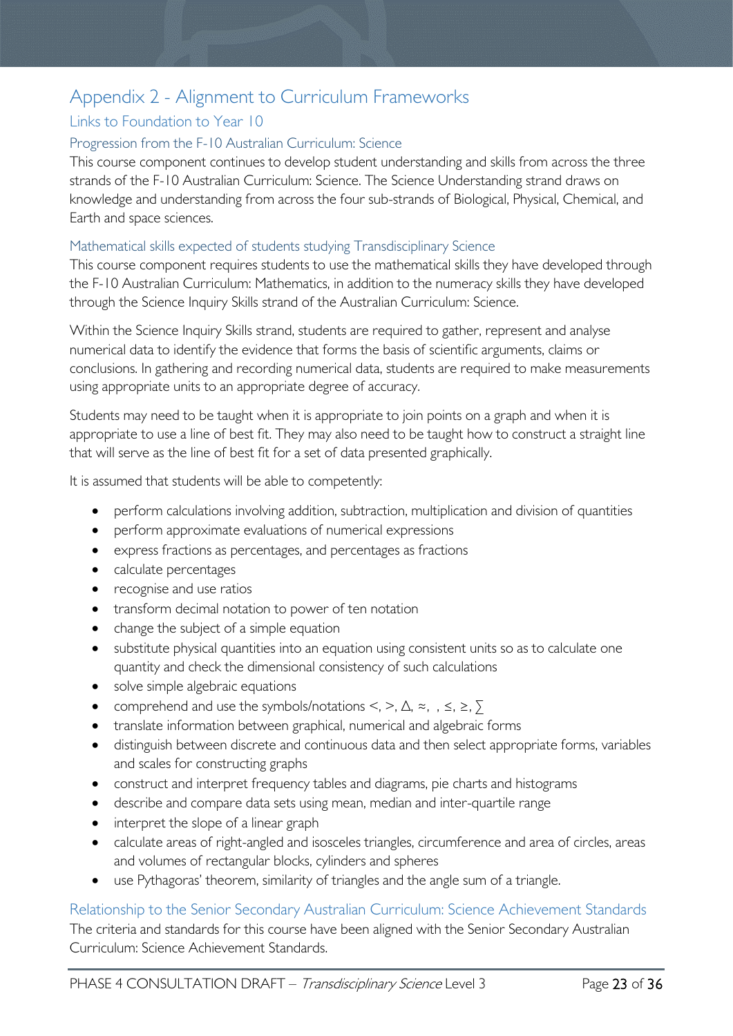# <span id="page-22-0"></span>Appendix 2 - Alignment to Curriculum Frameworks

### <span id="page-22-1"></span>Links to Foundation to Year 10

### <span id="page-22-2"></span>Progression from the F-10 Australian Curriculum: Science

This course component continues to develop student understanding and skills from across the three strands of the F-10 Australian Curriculum: Science. The Science Understanding strand draws on knowledge and understanding from across the four sub-strands of Biological, Physical, Chemical, and Earth and space sciences.

### <span id="page-22-3"></span>Mathematical skills expected of students studying Transdisciplinary Science

This course component requires students to use the mathematical skills they have developed through the F-10 Australian Curriculum: Mathematics, in addition to the numeracy skills they have developed through the Science Inquiry Skills strand of the Australian Curriculum: Science.

Within the Science Inquiry Skills strand, students are required to gather, represent and analyse numerical data to identify the evidence that forms the basis of scientific arguments, claims or conclusions. In gathering and recording numerical data, students are required to make measurements using appropriate units to an appropriate degree of accuracy.

Students may need to be taught when it is appropriate to join points on a graph and when it is appropriate to use a line of best fit. They may also need to be taught how to construct a straight line that will serve as the line of best fit for a set of data presented graphically.

It is assumed that students will be able to competently:

- perform calculations involving addition, subtraction, multiplication and division of quantities
- perform approximate evaluations of numerical expressions
- express fractions as percentages, and percentages as fractions
- calculate percentages
- recognise and use ratios
- transform decimal notation to power of ten notation
- change the subject of a simple equation
- substitute physical quantities into an equation using consistent units so as to calculate one quantity and check the dimensional consistency of such calculations
- solve simple algebraic equations
- comprehend and use the symbols/notations  $\leq, \geq, \triangle, \approx, \Rightarrow, \geq, \geq$
- translate information between graphical, numerical and algebraic forms
- distinguish between discrete and continuous data and then select appropriate forms, variables and scales for constructing graphs
- construct and interpret frequency tables and diagrams, pie charts and histograms
- describe and compare data sets using mean, median and inter-quartile range
- interpret the slope of a linear graph
- calculate areas of right-angled and isosceles triangles, circumference and area of circles, areas and volumes of rectangular blocks, cylinders and spheres
- use Pythagoras' theorem, similarity of triangles and the angle sum of a triangle.

<span id="page-22-4"></span>Relationship to the Senior Secondary Australian Curriculum: Science Achievement Standards The criteria and standards for this course have been aligned with the Senior Secondary Australian Curriculum: Science Achievement Standards.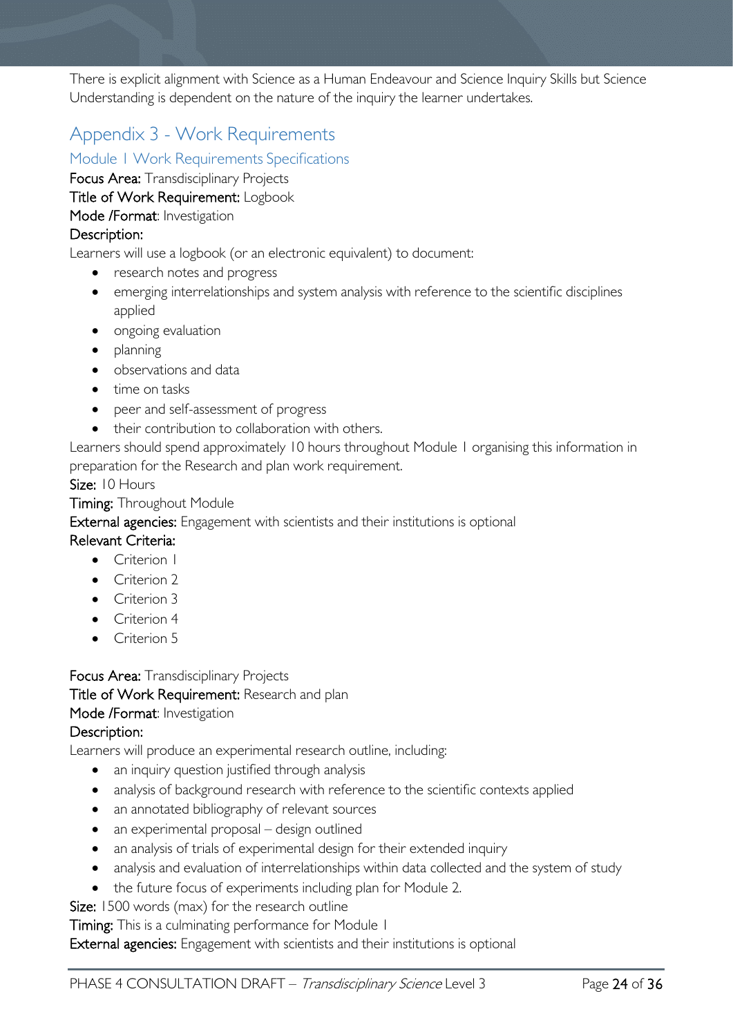There is explicit alignment with Science as a Human Endeavour and Science Inquiry Skills but Science Understanding is dependent on the nature of the inquiry the learner undertakes.

# <span id="page-23-0"></span>Appendix 3 - Work Requirements

<span id="page-23-1"></span>Module 1 Work Requirements Specifications

Focus Area: Transdisciplinary Projects

Title of Work Requirement: Logbook

Mode /Format: Investigation

### Description:

Learners will use a logbook (or an electronic equivalent) to document:

- research notes and progress
- emerging interrelationships and system analysis with reference to the scientific disciplines applied
- ongoing evaluation
- planning
- observations and data
- time on tasks
- peer and self-assessment of progress
- their contribution to collaboration with others.

Learners should spend approximately 10 hours throughout Module 1 organising this information in preparation for the Research and plan work requirement.

Size: 10 Hours

**Timing: Throughout Module** 

External agencies: Engagement with scientists and their institutions is optional

Relevant Criteria:

- Criterion 1
- Criterion 2
- Criterion 3
- Criterion 4
- Criterion 5

Focus Area: Transdisciplinary Projects Title of Work Requirement: Research and plan Mode /Format: Investigation

### Description:

Learners will produce an experimental research outline, including:

- an inquiry question justified through analysis
- analysis of background research with reference to the scientific contexts applied
- an annotated bibliography of relevant sources
- an experimental proposal design outlined
- an analysis of trials of experimental design for their extended inquiry
- analysis and evaluation of interrelationships within data collected and the system of study
- the future focus of experiments including plan for Module 2.

**Size:** 1500 words (max) for the research outline

Timing: This is a culminating performance for Module 1

External agencies: Engagement with scientists and their institutions is optional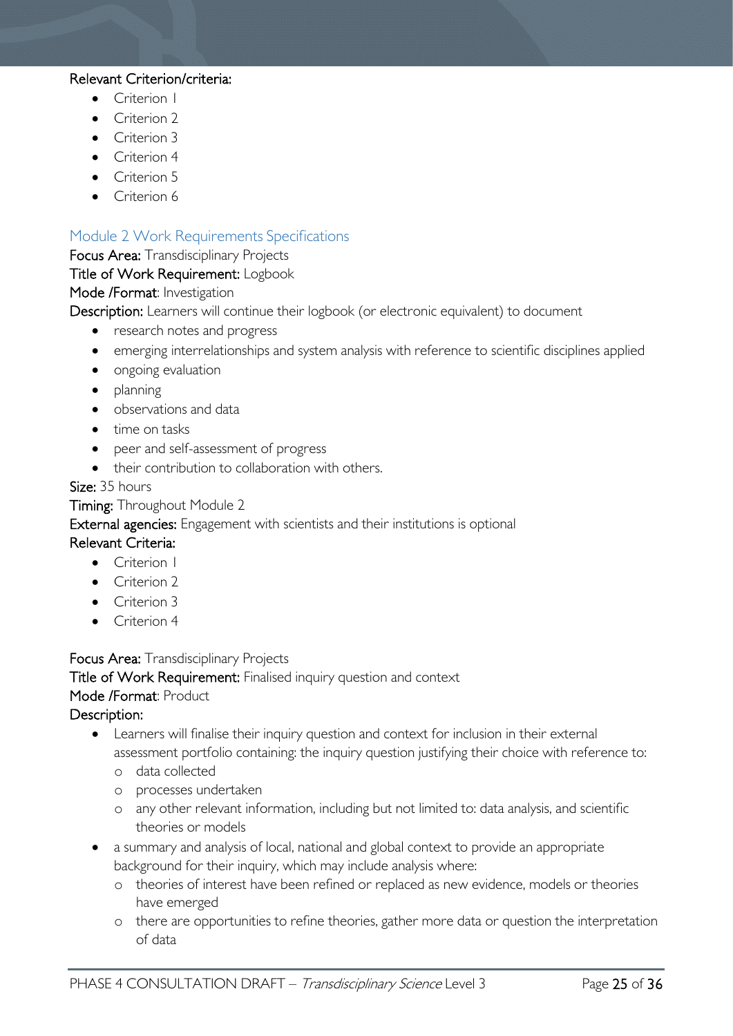### Relevant Criterion/criteria:

- Criterion I
- Criterion 2
- Criterion 3
- Criterion 4
- Criterion 5
- Criterion 6

### <span id="page-24-0"></span>Module 2 Work Requirements Specifications

### Focus Area: Transdisciplinary Projects

#### Title of Work Requirement: Logbook

#### Mode /Format: Investigation

Description: Learners will continue their logbook (or electronic equivalent) to document

- research notes and progress
- emerging interrelationships and system analysis with reference to scientific disciplines applied
- ongoing evaluation
- planning
- observations and data
- time on tasks
- peer and self-assessment of progress
- their contribution to collaboration with others.

### Size: 35 hours

Timing: Throughout Module 2

External agencies: Engagement with scientists and their institutions is optional

### Relevant Criteria:

- Criterion 1
- Criterion 2
- Criterion 3
- Criterion 4

### Focus Area: Transdisciplinary Projects

Title of Work Requirement: Finalised inquiry question and context

### Mode /Format: Product

### Description:

- Learners will finalise their inquiry question and context for inclusion in their external assessment portfolio containing: the inquiry question justifying their choice with reference to:
	- o data collected
	- o processes undertaken
	- o any other relevant information, including but not limited to: data analysis, and scientific theories or models
- a summary and analysis of local, national and global context to provide an appropriate background for their inquiry, which may include analysis where:
	- o theories of interest have been refined or replaced as new evidence, models or theories have emerged
	- o there are opportunities to refine theories, gather more data or question the interpretation of data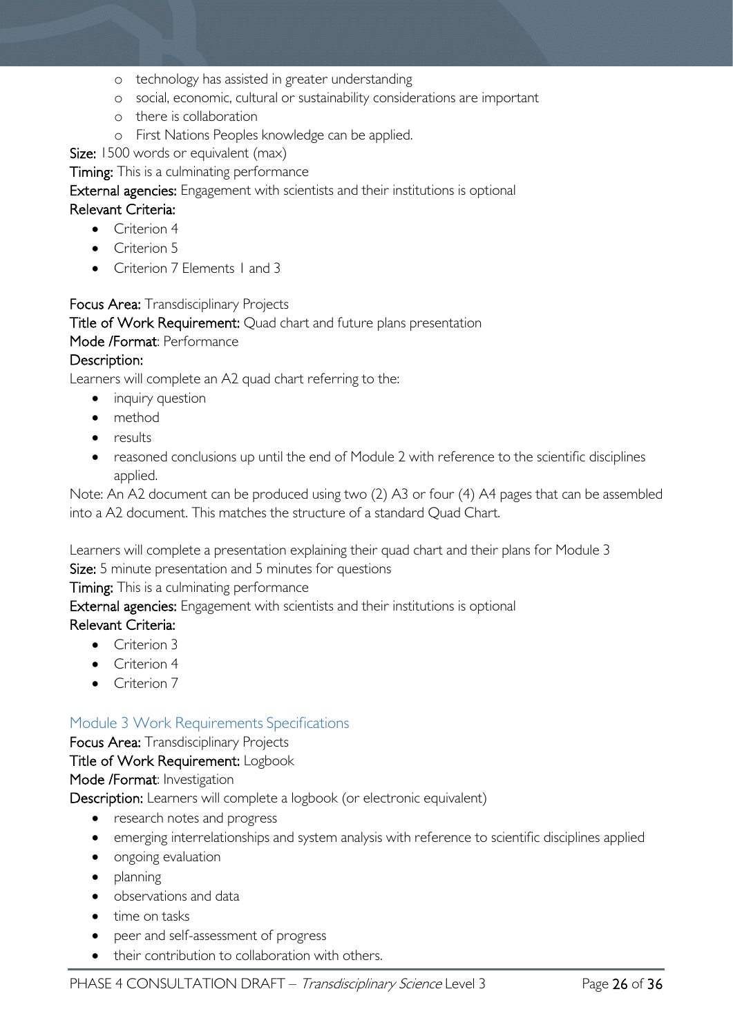- o technology has assisted in greater understanding
- o social, economic, cultural or sustainability considerations are important
- o there is collaboration
- o First Nations Peoples knowledge can be applied.

Size: 1500 words or equivalent (max)

Timing: This is a culminating performance

### External agencies: Engagement with scientists and their institutions is optional

### Relevant Criteria:

- Criterion 4
- Criterion 5
- Criterion 7 Elements 1 and 3

Focus Area: Transdisciplinary Projects

Title of Work Requirement: Quad chart and future plans presentation

Mode /Format: Performance

### Description:

Learners will complete an A2 quad chart referring to the:

- inquiry question
- method
- results
- reasoned conclusions up until the end of Module 2 with reference to the scientific disciplines applied.

Note: An A2 document can be produced using two (2) A3 or four (4) A4 pages that can be assembled into a A2 document. This matches the structure of a standard Quad Chart.

Learners will complete a presentation explaining their quad chart and their plans for Module 3 Size: 5 minute presentation and 5 minutes for questions

Timing: This is a culminating performance

External agencies: Engagement with scientists and their institutions is optional

### Relevant Criteria:

- Criterion 3
- Criterion 4
- Criterion 7

### <span id="page-25-0"></span>Module 3 Work Requirements Specifications

Focus Area: Transdisciplinary Projects

### Title of Work Requirement: Logbook

Mode /Format: Investigation

Description: Learners will complete a logbook (or electronic equivalent)

- research notes and progress
- emerging interrelationships and system analysis with reference to scientific disciplines applied
- ongoing evaluation
- planning
- observations and data
- time on tasks
- peer and self-assessment of progress
- their contribution to collaboration with others.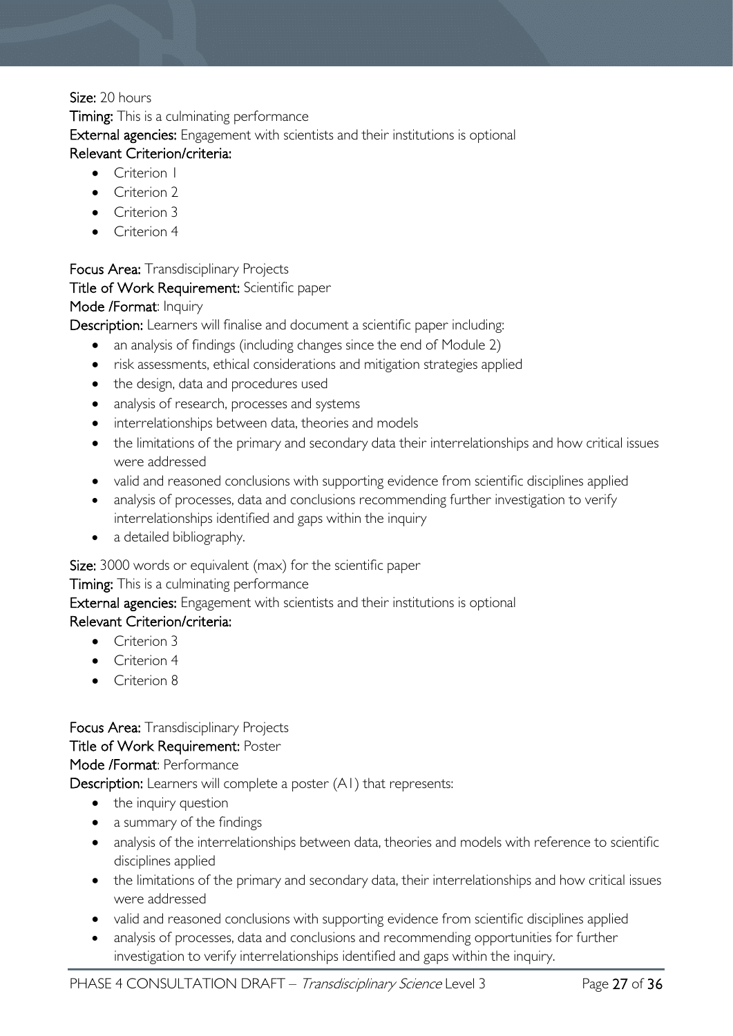### Size: 20 hours

Timing: This is a culminating performance External agencies: Engagement with scientists and their institutions is optional Relevant Criterion/criteria:

- Criterion I
- Criterion 2
- Criterion 3
- Criterion 4

Focus Area: Transdisciplinary Projects

### Title of Work Requirement: Scientific paper

### Mode /Format: Inquiry

Description: Learners will finalise and document a scientific paper including:

- an analysis of findings (including changes since the end of Module 2)
- risk assessments, ethical considerations and mitigation strategies applied
- the design, data and procedures used
- analysis of research, processes and systems
- interrelationships between data, theories and models
- the limitations of the primary and secondary data their interrelationships and how critical issues were addressed
- valid and reasoned conclusions with supporting evidence from scientific disciplines applied
- analysis of processes, data and conclusions recommending further investigation to verify interrelationships identified and gaps within the inquiry
- a detailed bibliography.

Size: 3000 words or equivalent (max) for the scientific paper

### **Timing:** This is a culminating performance

### External agencies: Engagement with scientists and their institutions is optional

### Relevant Criterion/criteria:

- Criterion 3
- Criterion 4
- Criterion 8

### Focus Area: Transdisciplinary Projects

### Title of Work Requirement: Poster

### Mode /Format: Performance

Description: Learners will complete a poster (A1) that represents:

- the inquiry question
- a summary of the findings
- analysis of the interrelationships between data, theories and models with reference to scientific disciplines applied
- the limitations of the primary and secondary data, their interrelationships and how critical issues were addressed
- valid and reasoned conclusions with supporting evidence from scientific disciplines applied
- analysis of processes, data and conclusions and recommending opportunities for further investigation to verify interrelationships identified and gaps within the inquiry.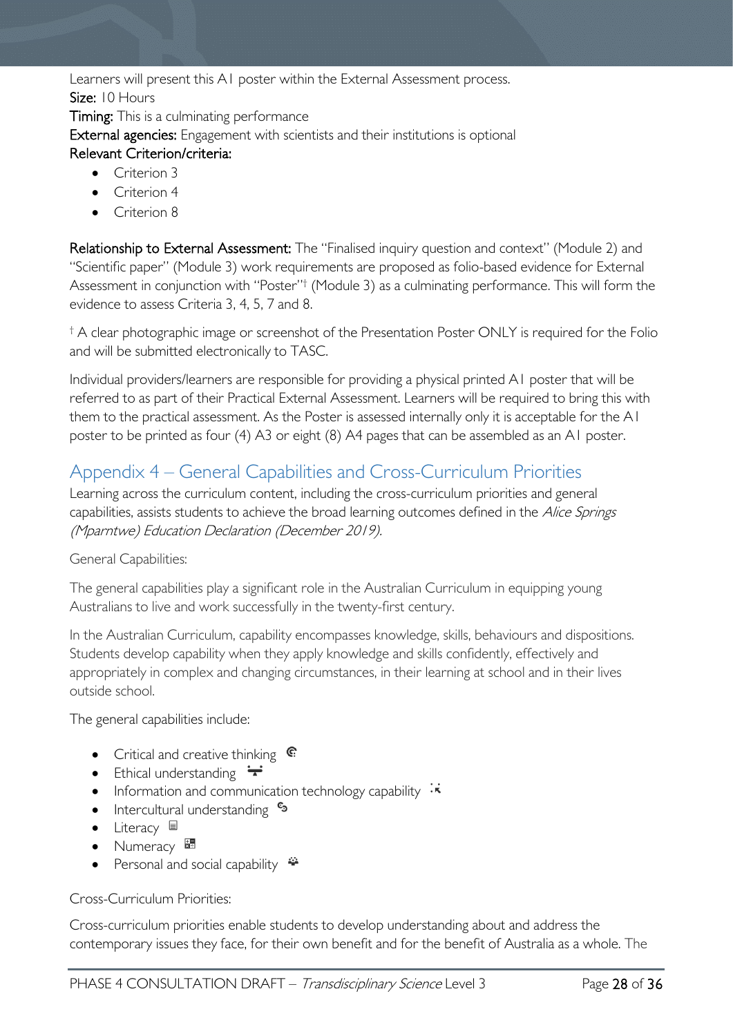Learners will present this A1 poster within the External Assessment process. Size: 10 Hours

Timing: This is a culminating performance External agencies: Engagement with scientists and their institutions is optional Relevant Criterion/criteria:

- Criterion 3
- Criterion 4
- Criterion 8

Relationship to External Assessment: The "Finalised inquiry question and context" (Module 2) and "Scientific paper" (Module 3) work requirements are proposed as folio-based evidence for External Assessment in conjunction with "Poster"† (Module 3) as a culminating performance. This will form the evidence to assess Criteria 3, 4, 5, 7 and 8.

† A clear photographic image or screenshot of the Presentation Poster ONLY is required for the Folio and will be submitted electronically to TASC.

Individual providers/learners are responsible for providing a physical printed A1 poster that will be referred to as part of their Practical External Assessment. Learners will be required to bring this with them to the practical assessment. As the Poster is assessed internally only it is acceptable for the A1 poster to be printed as four (4) A3 or eight (8) A4 pages that can be assembled as an A1 poster.

# <span id="page-27-0"></span>Appendix 4 – General Capabilities and Cross-Curriculum Priorities

Learning across the curriculum content, including the cross-curriculum priorities and general capabilities, assists students to achieve the broad learning outcomes defined in the Alice Springs (Mparntwe) Education Declaration (December 2019).

### General Capabilities:

The general capabilities play a significant role in the Australian Curriculum in equipping young Australians to live and work successfully in the twenty-first century.

In the Australian Curriculum, capability encompasses knowledge, skills, behaviours and dispositions. Students develop capability when they apply knowledge and skills confidently, effectively and appropriately in complex and changing circumstances, in their learning at school and in their lives outside school.

The general capabilities include:

- Critical and creative thinking  $\mathbb{C}$
- Ethical understanding  $\div$
- Information and communication technology capability  $\cdot\overline{\cdot}$
- Intercultural understanding •
- Literacy  $\blacksquare$
- Numeracy
- Personal and social capability  $\ddot{\ddot{}}$

Cross-Curriculum Priorities:

Cross-curriculum priorities enable students to develop understanding about and address the contemporary issues they face, for their own benefit and for the benefit of Australia as a whole. The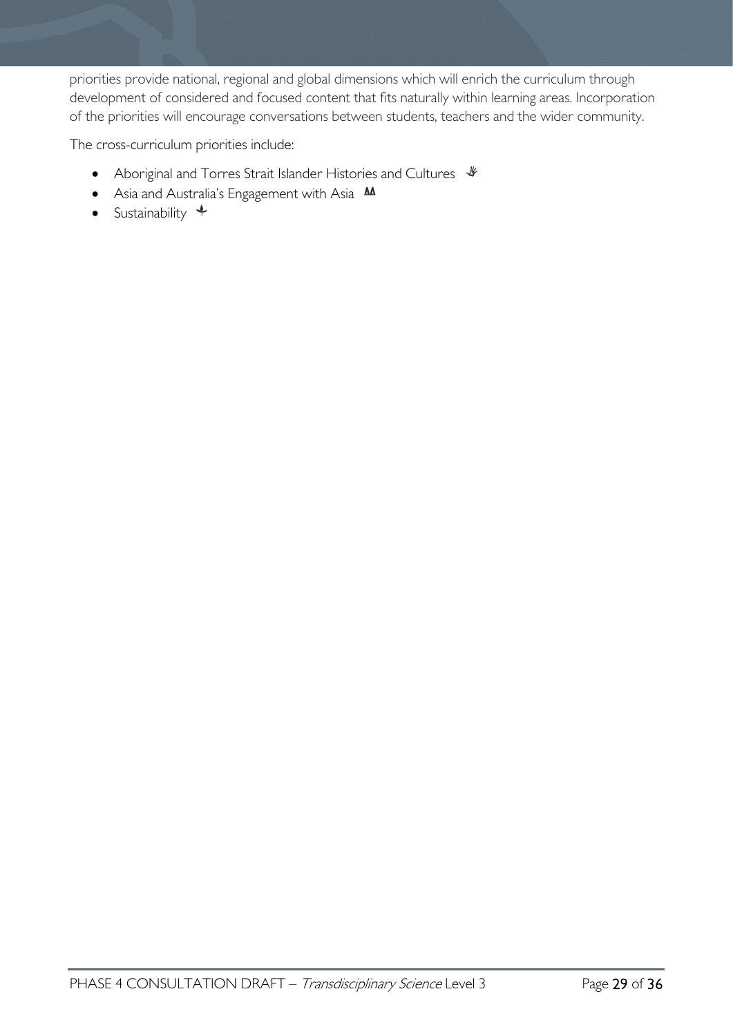priorities provide national, regional and global dimensions which will enrich the curriculum through development of considered and focused content that fits naturally within learning areas. Incorporation of the priorities will encourage conversations between students, teachers and the wider community.

The cross-curriculum priorities include:

- Aboriginal and Torres Strait Islander Histories and Cultures  $\mathcal$
- Asia and Australia's Engagement with Asia M
- Sustainability  $+$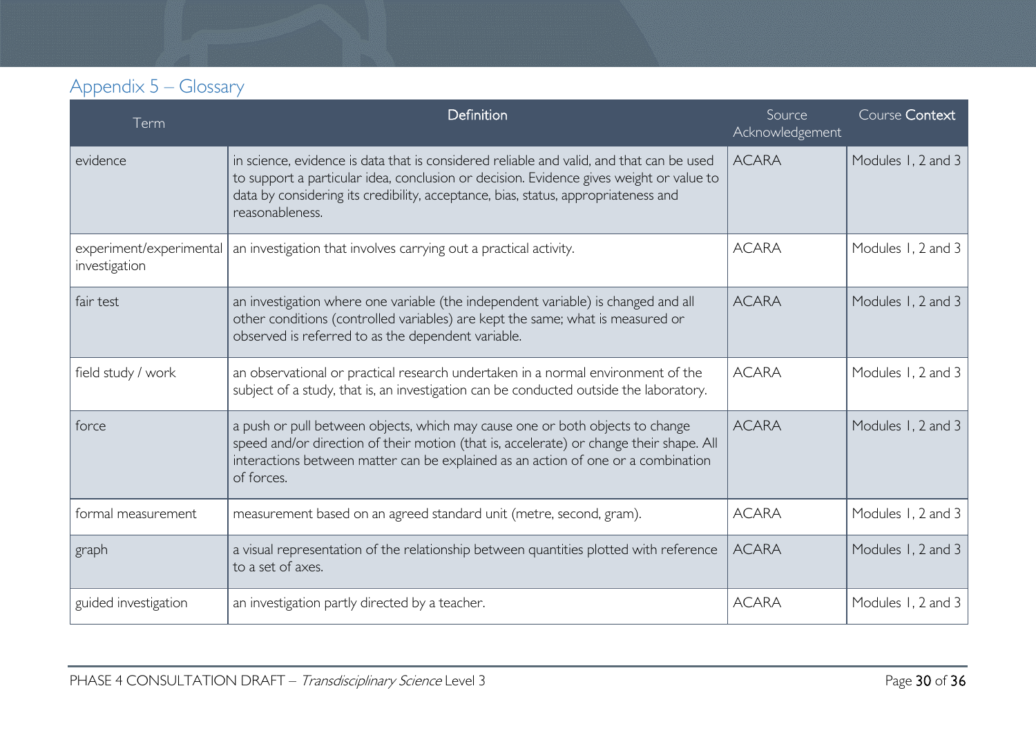# Appendix 5 – Glossary

<span id="page-29-0"></span>

| Term                                     | Definition                                                                                                                                                                                                                                                                                   | Source<br>Acknowledgement | Course Context     |
|------------------------------------------|----------------------------------------------------------------------------------------------------------------------------------------------------------------------------------------------------------------------------------------------------------------------------------------------|---------------------------|--------------------|
| evidence                                 | in science, evidence is data that is considered reliable and valid, and that can be used<br>to support a particular idea, conclusion or decision. Evidence gives weight or value to<br>data by considering its credibility, acceptance, bias, status, appropriateness and<br>reasonableness. | <b>ACARA</b>              | Modules 1, 2 and 3 |
| experiment/experimental<br>investigation | an investigation that involves carrying out a practical activity.                                                                                                                                                                                                                            | <b>ACARA</b>              | Modules 1, 2 and 3 |
| fair test                                | an investigation where one variable (the independent variable) is changed and all<br>other conditions (controlled variables) are kept the same; what is measured or<br>observed is referred to as the dependent variable.                                                                    | <b>ACARA</b>              | Modules 1, 2 and 3 |
| field study / work                       | an observational or practical research undertaken in a normal environment of the<br>subject of a study, that is, an investigation can be conducted outside the laboratory.                                                                                                                   | <b>ACARA</b>              | Modules 1, 2 and 3 |
| force                                    | a push or pull between objects, which may cause one or both objects to change<br>speed and/or direction of their motion (that is, accelerate) or change their shape. All<br>interactions between matter can be explained as an action of one or a combination<br>of forces.                  |                           | Modules 1, 2 and 3 |
| formal measurement                       | measurement based on an agreed standard unit (metre, second, gram).                                                                                                                                                                                                                          | <b>ACARA</b>              | Modules 1, 2 and 3 |
| graph                                    | a visual representation of the relationship between quantities plotted with reference<br>to a set of axes.                                                                                                                                                                                   | <b>ACARA</b>              | Modules 1, 2 and 3 |
| guided investigation                     | an investigation partly directed by a teacher.                                                                                                                                                                                                                                               | <b>ACARA</b>              | Modules 1, 2 and 3 |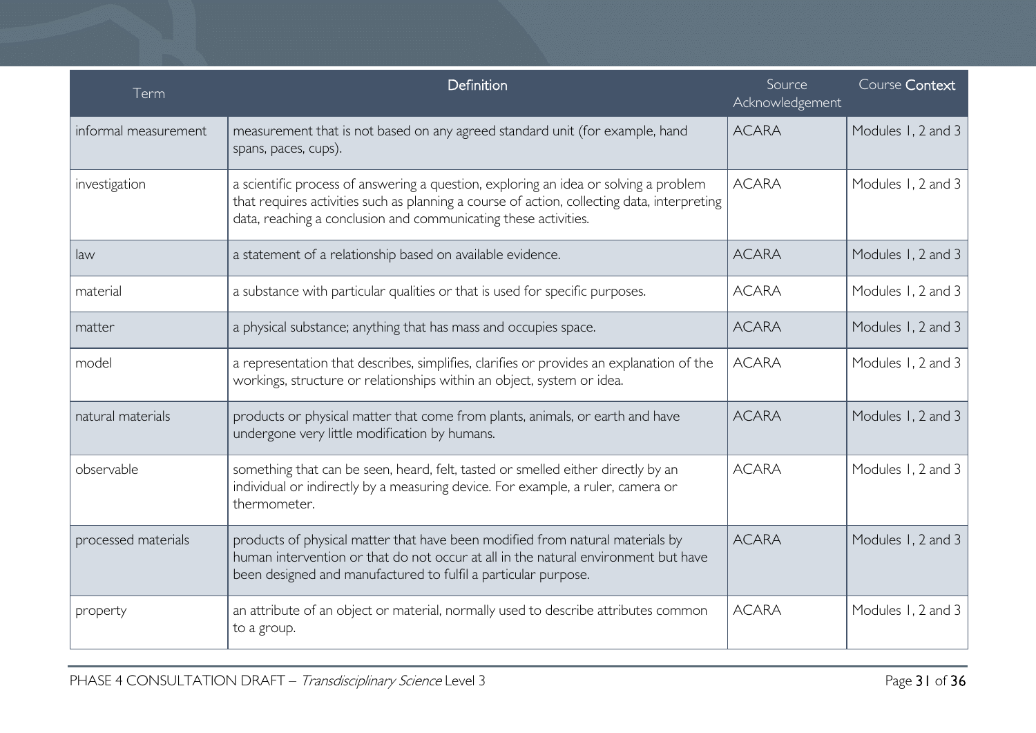| Term                 | Definition                                                                                                                                                                                                                                             | Source<br>Acknowledgement | Course Context     |
|----------------------|--------------------------------------------------------------------------------------------------------------------------------------------------------------------------------------------------------------------------------------------------------|---------------------------|--------------------|
| informal measurement | measurement that is not based on any agreed standard unit (for example, hand<br>spans, paces, cups).                                                                                                                                                   | <b>ACARA</b>              | Modules 1, 2 and 3 |
| investigation        | a scientific process of answering a question, exploring an idea or solving a problem<br>that requires activities such as planning a course of action, collecting data, interpreting<br>data, reaching a conclusion and communicating these activities. | <b>ACARA</b>              | Modules 1, 2 and 3 |
| law                  | a statement of a relationship based on available evidence.                                                                                                                                                                                             | <b>ACARA</b>              | Modules 1, 2 and 3 |
| material             | a substance with particular qualities or that is used for specific purposes.                                                                                                                                                                           | <b>ACARA</b>              | Modules 1, 2 and 3 |
| matter               | a physical substance; anything that has mass and occupies space.                                                                                                                                                                                       | <b>ACARA</b>              | Modules 1, 2 and 3 |
| model                | a representation that describes, simplifies, clarifies or provides an explanation of the<br>workings, structure or relationships within an object, system or idea.                                                                                     | <b>ACARA</b>              | Modules 1, 2 and 3 |
| natural materials    | products or physical matter that come from plants, animals, or earth and have<br>undergone very little modification by humans.                                                                                                                         | <b>ACARA</b>              | Modules 1, 2 and 3 |
| observable           | something that can be seen, heard, felt, tasted or smelled either directly by an<br>individual or indirectly by a measuring device. For example, a ruler, camera or<br>thermometer.                                                                    | <b>ACARA</b>              | Modules 1, 2 and 3 |
| processed materials  | products of physical matter that have been modified from natural materials by<br>human intervention or that do not occur at all in the natural environment but have<br>been designed and manufactured to fulfil a particular purpose.                  | <b>ACARA</b>              | Modules 1, 2 and 3 |
| property             | an attribute of an object or material, normally used to describe attributes common<br>to a group.                                                                                                                                                      | <b>ACARA</b>              | Modules 1, 2 and 3 |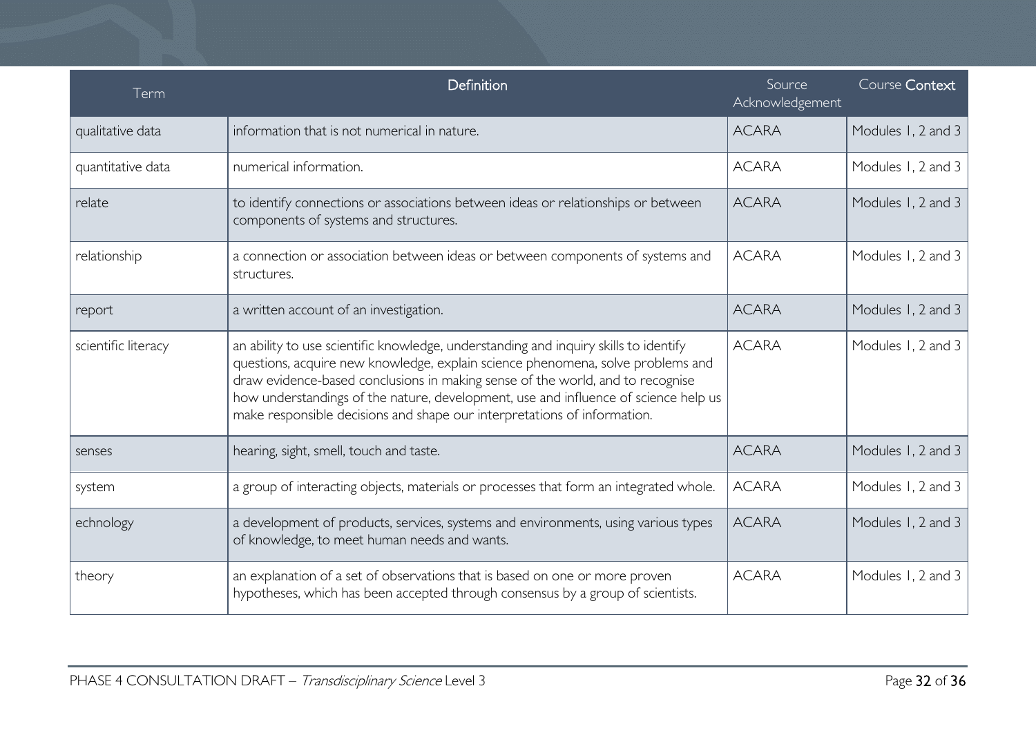| Term                | Definition                                                                                                                                                                                                                                                                                                                                                                                                                   | Source<br>Acknowledgement | Course Context     |
|---------------------|------------------------------------------------------------------------------------------------------------------------------------------------------------------------------------------------------------------------------------------------------------------------------------------------------------------------------------------------------------------------------------------------------------------------------|---------------------------|--------------------|
| qualitative data    | information that is not numerical in nature.                                                                                                                                                                                                                                                                                                                                                                                 | <b>ACARA</b>              | Modules 1, 2 and 3 |
| quantitative data   | numerical information.                                                                                                                                                                                                                                                                                                                                                                                                       | <b>ACARA</b>              | Modules 1, 2 and 3 |
| relate              | to identify connections or associations between ideas or relationships or between<br>components of systems and structures.                                                                                                                                                                                                                                                                                                   | <b>ACARA</b>              | Modules 1, 2 and 3 |
| relationship        | a connection or association between ideas or between components of systems and<br>structures.                                                                                                                                                                                                                                                                                                                                | <b>ACARA</b>              | Modules 1, 2 and 3 |
| report              | a written account of an investigation.                                                                                                                                                                                                                                                                                                                                                                                       | <b>ACARA</b>              | Modules 1, 2 and 3 |
| scientific literacy | an ability to use scientific knowledge, understanding and inquiry skills to identify<br>questions, acquire new knowledge, explain science phenomena, solve problems and<br>draw evidence-based conclusions in making sense of the world, and to recognise<br>how understandings of the nature, development, use and influence of science help us<br>make responsible decisions and shape our interpretations of information. | <b>ACARA</b>              | Modules 1, 2 and 3 |
| senses              | hearing, sight, smell, touch and taste.                                                                                                                                                                                                                                                                                                                                                                                      | <b>ACARA</b>              | Modules 1, 2 and 3 |
| system              | a group of interacting objects, materials or processes that form an integrated whole.                                                                                                                                                                                                                                                                                                                                        | <b>ACARA</b>              | Modules 1, 2 and 3 |
| echnology           | a development of products, services, systems and environments, using various types<br>of knowledge, to meet human needs and wants.                                                                                                                                                                                                                                                                                           | <b>ACARA</b>              | Modules 1, 2 and 3 |
| theory              | an explanation of a set of observations that is based on one or more proven<br>hypotheses, which has been accepted through consensus by a group of scientists.                                                                                                                                                                                                                                                               | <b>ACARA</b>              | Modules 1, 2 and 3 |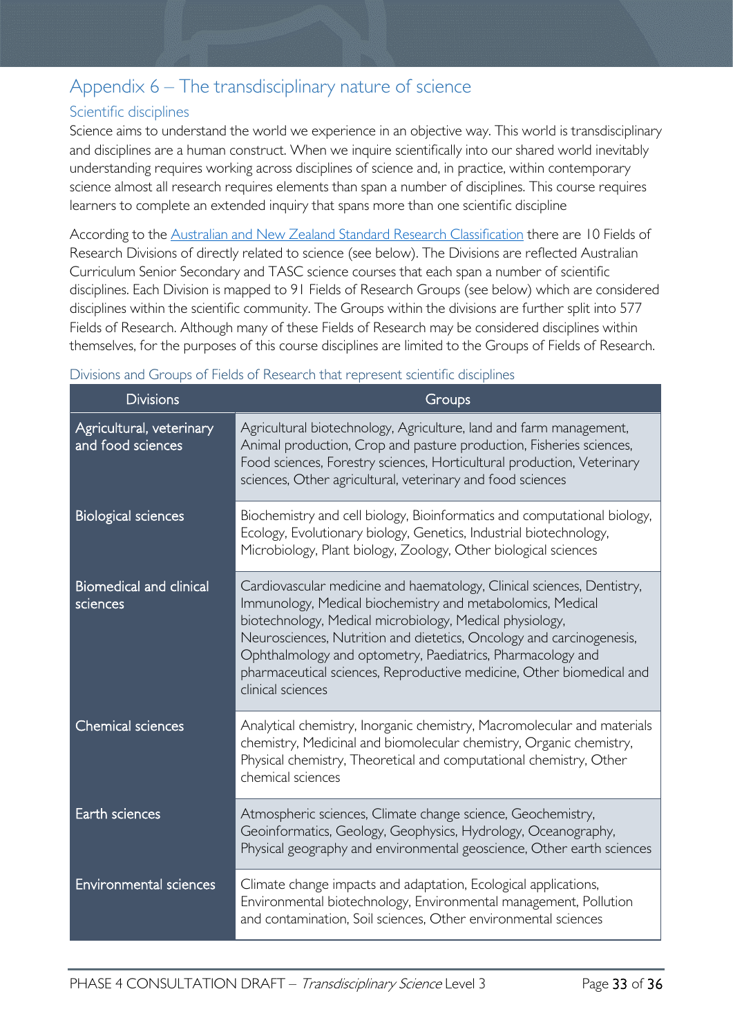### <span id="page-32-0"></span>Appendix 6 – The transdisciplinary nature of science

### <span id="page-32-1"></span>Scientific disciplines

Science aims to understand the world we experience in an objective way. This world is transdisciplinary and disciplines are a human construct. When we inquire scientifically into our shared world inevitably understanding requires working across disciplines of science and, in practice, within contemporary science almost all research requires elements than span a number of disciplines. This course requires learners to complete an extended inquiry that spans more than one scientific discipline

According to the [Australian and New Zealand Standard Research Classification](https://www.arc.gov.au/grants/grant-application/classification-codes-rfcd-seo-and-anzsic-codes) there are 10 Fields of Research Divisions of directly related to science (see below). The Divisions are reflected Australian Curriculum Senior Secondary and TASC science courses that each span a number of scientific disciplines. Each Division is mapped to 91 Fields of Research Groups (see below) which are considered disciplines within the scientific community. The Groups within the divisions are further split into 577 Fields of Research. Although many of these Fields of Research may be considered disciplines within themselves, for the purposes of this course disciplines are limited to the Groups of Fields of Research.

| <b>Divisions</b>                              | Groups                                                                                                                                                                                                                                                                                                                                                                                                                              |
|-----------------------------------------------|-------------------------------------------------------------------------------------------------------------------------------------------------------------------------------------------------------------------------------------------------------------------------------------------------------------------------------------------------------------------------------------------------------------------------------------|
| Agricultural, veterinary<br>and food sciences | Agricultural biotechnology, Agriculture, land and farm management,<br>Animal production, Crop and pasture production, Fisheries sciences,<br>Food sciences, Forestry sciences, Horticultural production, Veterinary<br>sciences, Other agricultural, veterinary and food sciences                                                                                                                                                   |
| <b>Biological sciences</b>                    | Biochemistry and cell biology, Bioinformatics and computational biology,<br>Ecology, Evolutionary biology, Genetics, Industrial biotechnology,<br>Microbiology, Plant biology, Zoology, Other biological sciences                                                                                                                                                                                                                   |
| <b>Biomedical and clinical</b><br>sciences    | Cardiovascular medicine and haematology, Clinical sciences, Dentistry,<br>Immunology, Medical biochemistry and metabolomics, Medical<br>biotechnology, Medical microbiology, Medical physiology,<br>Neurosciences, Nutrition and dietetics, Oncology and carcinogenesis,<br>Ophthalmology and optometry, Paediatrics, Pharmacology and<br>pharmaceutical sciences, Reproductive medicine, Other biomedical and<br>clinical sciences |
| <b>Chemical sciences</b>                      | Analytical chemistry, Inorganic chemistry, Macromolecular and materials<br>chemistry, Medicinal and biomolecular chemistry, Organic chemistry,<br>Physical chemistry, Theoretical and computational chemistry, Other<br>chemical sciences                                                                                                                                                                                           |
| Earth sciences                                | Atmospheric sciences, Climate change science, Geochemistry,<br>Geoinformatics, Geology, Geophysics, Hydrology, Oceanography,<br>Physical geography and environmental geoscience, Other earth sciences                                                                                                                                                                                                                               |
| <b>Environmental sciences</b>                 | Climate change impacts and adaptation, Ecological applications,<br>Environmental biotechnology, Environmental management, Pollution<br>and contamination, Soil sciences, Other environmental sciences                                                                                                                                                                                                                               |

#### <span id="page-32-2"></span>Divisions and Groups of Fields of Research that represent scientific disciplines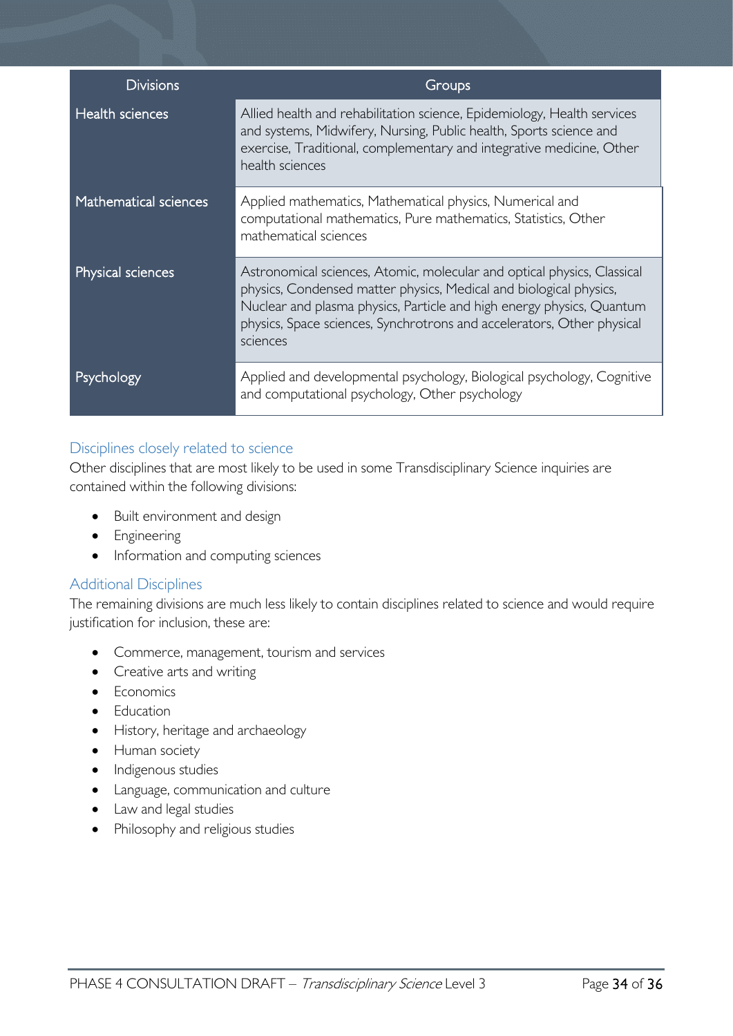| <b>Divisions</b>       | Groups                                                                                                                                                                                                                                                                                                       |
|------------------------|--------------------------------------------------------------------------------------------------------------------------------------------------------------------------------------------------------------------------------------------------------------------------------------------------------------|
| <b>Health sciences</b> | Allied health and rehabilitation science, Epidemiology, Health services<br>and systems, Midwifery, Nursing, Public health, Sports science and<br>exercise, Traditional, complementary and integrative medicine, Other<br>health sciences                                                                     |
| Mathematical sciences  | Applied mathematics, Mathematical physics, Numerical and<br>computational mathematics, Pure mathematics, Statistics, Other<br>mathematical sciences                                                                                                                                                          |
| Physical sciences      | Astronomical sciences, Atomic, molecular and optical physics, Classical<br>physics, Condensed matter physics, Medical and biological physics,<br>Nuclear and plasma physics, Particle and high energy physics, Quantum<br>physics, Space sciences, Synchrotrons and accelerators, Other physical<br>sciences |
| Psychology             | Applied and developmental psychology, Biological psychology, Cognitive<br>and computational psychology, Other psychology                                                                                                                                                                                     |

### <span id="page-33-0"></span>Disciplines closely related to science

Other disciplines that are most likely to be used in some Transdisciplinary Science inquiries are contained within the following divisions:

- Built environment and design
- Engineering
- Information and computing sciences

### <span id="page-33-1"></span>Additional Disciplines

The remaining divisions are much less likely to contain disciplines related to science and would require justification for inclusion, these are:

- Commerce, management, tourism and services
- Creative arts and writing
- Economics
- Education
- History, heritage and archaeology
- Human society
- Indigenous studies
- Language, communication and culture
- Law and legal studies
- Philosophy and religious studies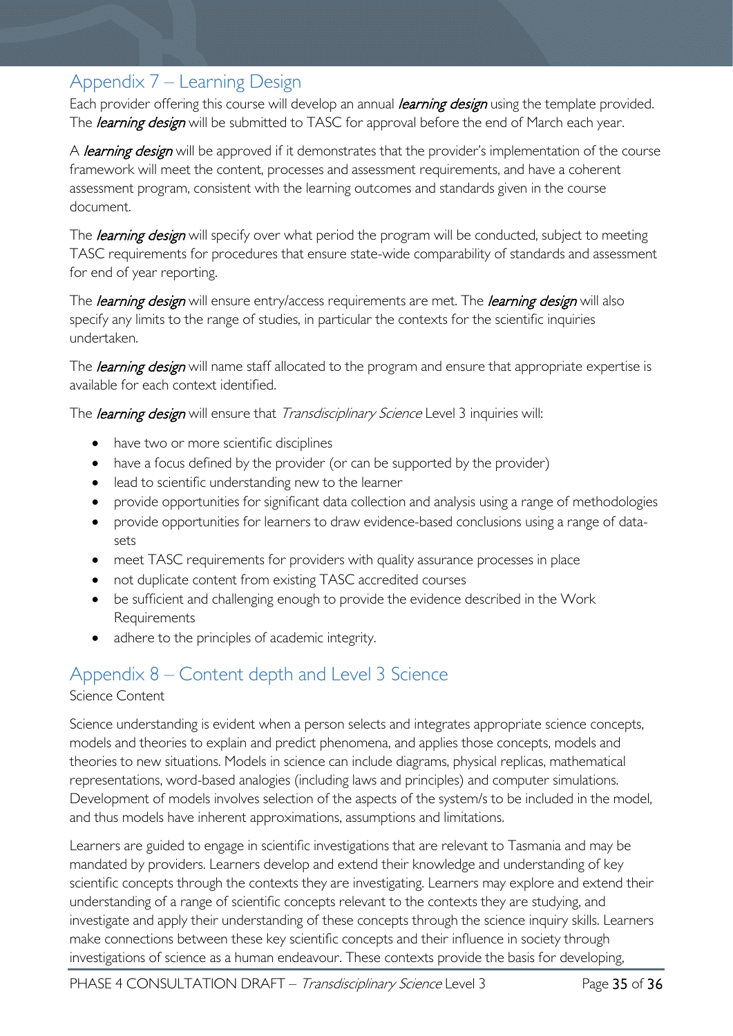# <span id="page-34-0"></span>Appendix 7 – Learning Design

Each provider offering this course will develop an annual *learning design* using the template provided. The *learning design* will be submitted to TASC for approval before the end of March each year.

A learning design will be approved if it demonstrates that the provider's implementation of the course framework will meet the content, processes and assessment requirements, and have a coherent assessment program, consistent with the learning outcomes and standards given in the course document.

The *learning design* will specify over what period the program will be conducted, subject to meeting TASC requirements for procedures that ensure state-wide comparability of standards and assessment for end of year reporting.

The *learning design* will ensure entry/access requirements are met. The *learning design* will also specify any limits to the range of studies, in particular the contexts for the scientific inquiries undertaken.

The *learning design* will name staff allocated to the program and ensure that appropriate expertise is available for each context identified.

The *learning design* will ensure that *Transdisciplinary Science* Level 3 inquiries will:

- have two or more scientific disciplines
- have a focus defined by the provider (or can be supported by the provider)
- lead to scientific understanding new to the learner
- provide opportunities for significant data collection and analysis using a range of methodologies
- provide opportunities for learners to draw evidence-based conclusions using a range of datasets
- meet TASC requirements for providers with quality assurance processes in place
- not duplicate content from existing TASC accredited courses
- be sufficient and challenging enough to provide the evidence described in the Work Requirements
- adhere to the principles of academic integrity.

# <span id="page-34-1"></span>Appendix 8 – Content depth and Level 3 Science

### Science Content

Science understanding is evident when a person selects and integrates appropriate science concepts, models and theories to explain and predict phenomena, and applies those concepts, models and theories to new situations. Models in science can include diagrams, physical replicas, mathematical representations, word-based analogies (including laws and principles) and computer simulations. Development of models involves selection of the aspects of the system/s to be included in the model, and thus models have inherent approximations, assumptions and limitations.

Learners are guided to engage in scientific investigations that are relevant to Tasmania and may be mandated by providers. Learners develop and extend their knowledge and understanding of key scientific concepts through the contexts they are investigating. Learners may explore and extend their understanding of a range of scientific concepts relevant to the contexts they are studying, and investigate and apply their understanding of these concepts through the science inquiry skills. Learners make connections between these key scientific concepts and their influence in society through investigations of science as a human endeavour. These contexts provide the basis for developing,